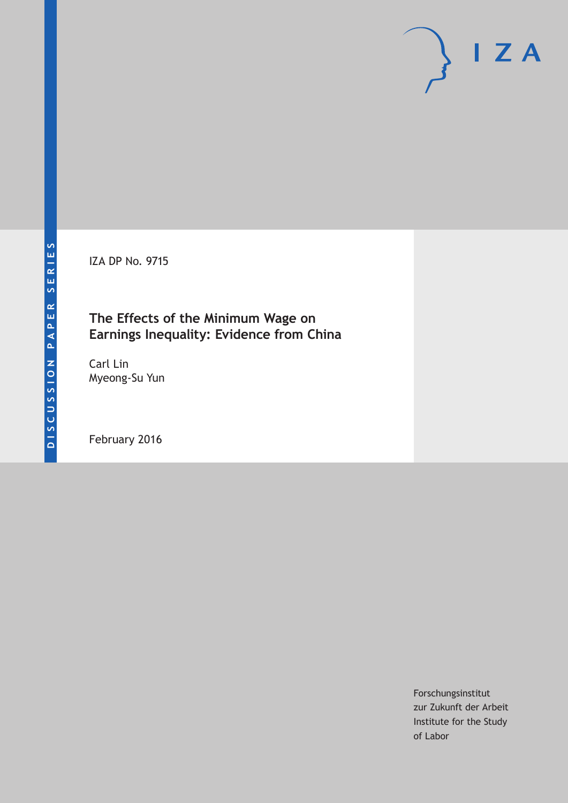IZA DP No. 9715

## **The Effects of the Minimum Wage on Earnings Inequality: Evidence from China**

Carl Lin Myeong-Su Yun

February 2016

Forschungsinstitut zur Zukunft der Arbeit Institute for the Study of Labor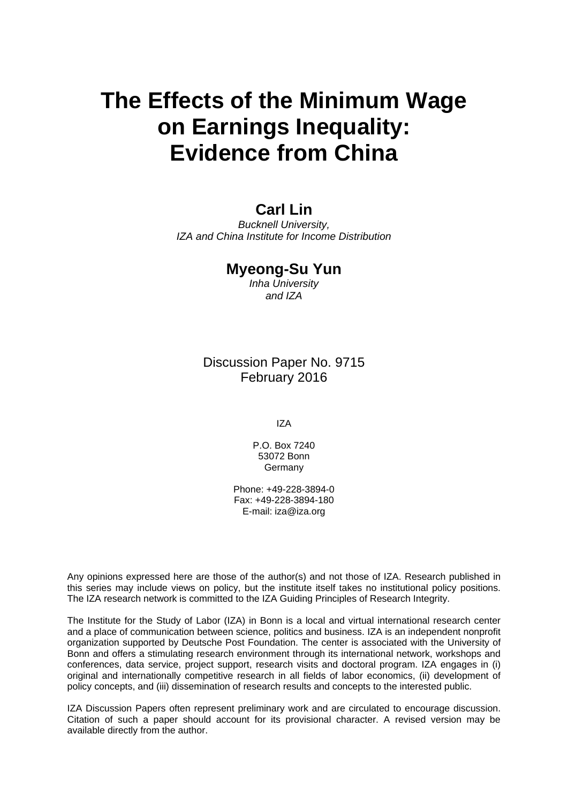# **The Effects of the Minimum Wage on Earnings Inequality: Evidence from China**

# **Carl Lin**

*Bucknell University, IZA and China Institute for Income Distribution* 

### **Myeong-Su Yun**

*Inha University and IZA* 

Discussion Paper No. 9715 February 2016

IZA

P.O. Box 7240 53072 Bonn **Germany** 

Phone: +49-228-3894-0 Fax: +49-228-3894-180 E-mail: iza@iza.org

Any opinions expressed here are those of the author(s) and not those of IZA. Research published in this series may include views on policy, but the institute itself takes no institutional policy positions. The IZA research network is committed to the IZA Guiding Principles of Research Integrity.

The Institute for the Study of Labor (IZA) in Bonn is a local and virtual international research center and a place of communication between science, politics and business. IZA is an independent nonprofit organization supported by Deutsche Post Foundation. The center is associated with the University of Bonn and offers a stimulating research environment through its international network, workshops and conferences, data service, project support, research visits and doctoral program. IZA engages in (i) original and internationally competitive research in all fields of labor economics, (ii) development of policy concepts, and (iii) dissemination of research results and concepts to the interested public.

IZA Discussion Papers often represent preliminary work and are circulated to encourage discussion. Citation of such a paper should account for its provisional character. A revised version may be available directly from the author.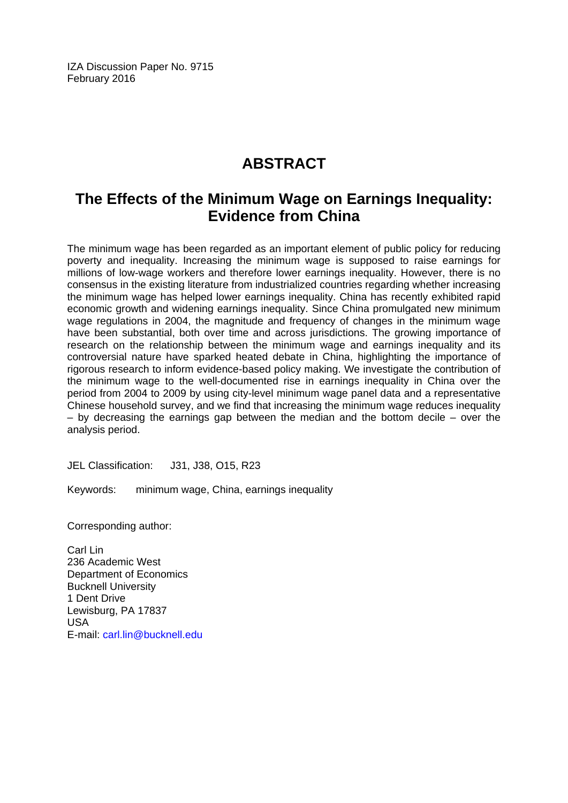IZA Discussion Paper No. 9715 February 2016

# **ABSTRACT**

# **The Effects of the Minimum Wage on Earnings Inequality: Evidence from China**

The minimum wage has been regarded as an important element of public policy for reducing poverty and inequality. Increasing the minimum wage is supposed to raise earnings for millions of low-wage workers and therefore lower earnings inequality. However, there is no consensus in the existing literature from industrialized countries regarding whether increasing the minimum wage has helped lower earnings inequality. China has recently exhibited rapid economic growth and widening earnings inequality. Since China promulgated new minimum wage regulations in 2004, the magnitude and frequency of changes in the minimum wage have been substantial, both over time and across jurisdictions. The growing importance of research on the relationship between the minimum wage and earnings inequality and its controversial nature have sparked heated debate in China, highlighting the importance of rigorous research to inform evidence-based policy making. We investigate the contribution of the minimum wage to the well-documented rise in earnings inequality in China over the period from 2004 to 2009 by using city-level minimum wage panel data and a representative Chinese household survey, and we find that increasing the minimum wage reduces inequality  $-$  by decreasing the earnings gap between the median and the bottom decile  $-$  over the analysis period.

JEL Classification: J31, J38, O15, R23

Keywords: minimum wage, China, earnings inequality

Corresponding author:

Carl Lin 236 Academic West Department of Economics Bucknell University 1 Dent Drive Lewisburg, PA 17837 USA E-mail: carl.lin@bucknell.edu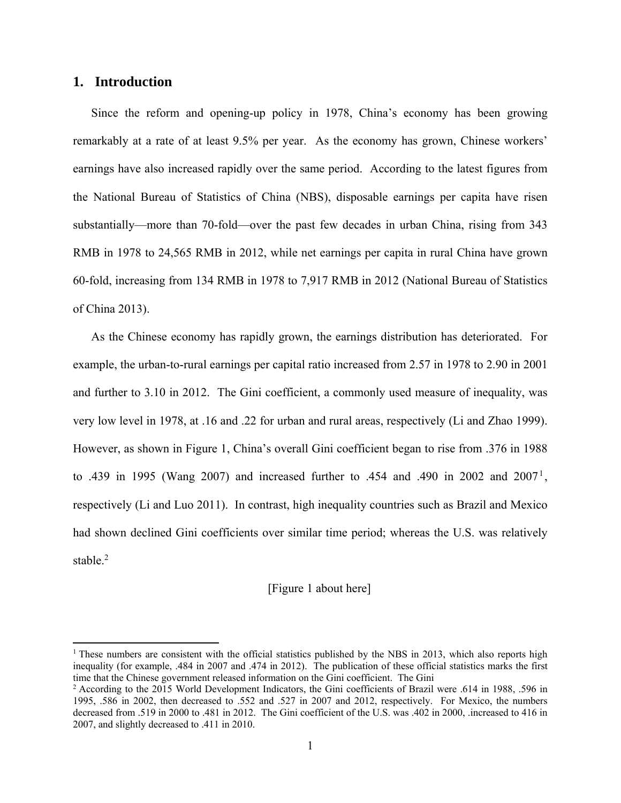### **1. Introduction**

Since the reform and opening-up policy in 1978, China's economy has been growing remarkably at a rate of at least 9.5% per year. As the economy has grown, Chinese workers' earnings have also increased rapidly over the same period. According to the latest figures from the National Bureau of Statistics of China (NBS), disposable earnings per capita have risen substantially—more than 70-fold—over the past few decades in urban China, rising from 343 RMB in 1978 to 24,565 RMB in 2012, while net earnings per capita in rural China have grown 60-fold, increasing from 134 RMB in 1978 to 7,917 RMB in 2012 (National Bureau of Statistics of China 2013).

As the Chinese economy has rapidly grown, the earnings distribution has deteriorated. For example, the urban-to-rural earnings per capital ratio increased from 2.57 in 1978 to 2.90 in 2001 and further to 3.10 in 2012. The Gini coefficient, a commonly used measure of inequality, was very low level in 1978, at .16 and .22 for urban and rural areas, respectively (Li and Zhao 1999). However, as shown in Figure 1, China's overall Gini coefficient began to rise from .376 in 1988 to .439 in 1995 (Wang 2007) and increased further to .454 and .490 in 2002 and 2007<sup>1</sup>, respectively (Li and Luo 2011). In contrast, high inequality countries such as Brazil and Mexico had shown declined Gini coefficients over similar time period; whereas the U.S. was relatively stable. $2$ 

#### [Figure 1 about here]

<sup>&</sup>lt;sup>1</sup> These numbers are consistent with the official statistics published by the NBS in 2013, which also reports high inequality (for example, .484 in 2007 and .474 in 2012). The publication of these official statistics marks the first time that the Chinese government released information on the Gini coefficient. The Gini 2

According to the 2015 World Development Indicators, the Gini coefficients of Brazil were .614 in 1988, .596 in 1995, .586 in 2002, then decreased to .552 and .527 in 2007 and 2012, respectively. For Mexico, the numbers decreased from .519 in 2000 to .481 in 2012. The Gini coefficient of the U.S. was .402 in 2000, .increased to 416 in 2007, and slightly decreased to .411 in 2010.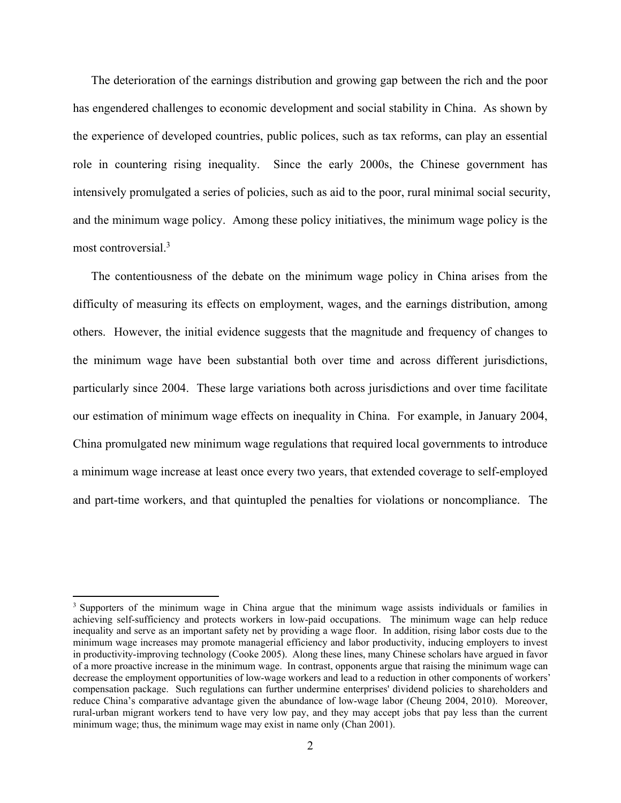The deterioration of the earnings distribution and growing gap between the rich and the poor has engendered challenges to economic development and social stability in China. As shown by the experience of developed countries, public polices, such as tax reforms, can play an essential role in countering rising inequality. Since the early 2000s, the Chinese government has intensively promulgated a series of policies, such as aid to the poor, rural minimal social security, and the minimum wage policy. Among these policy initiatives, the minimum wage policy is the most controversial.3

The contentiousness of the debate on the minimum wage policy in China arises from the difficulty of measuring its effects on employment, wages, and the earnings distribution, among others. However, the initial evidence suggests that the magnitude and frequency of changes to the minimum wage have been substantial both over time and across different jurisdictions, particularly since 2004. These large variations both across jurisdictions and over time facilitate our estimation of minimum wage effects on inequality in China. For example, in January 2004, China promulgated new minimum wage regulations that required local governments to introduce a minimum wage increase at least once every two years, that extended coverage to self-employed and part-time workers, and that quintupled the penalties for violations or noncompliance. The

<sup>&</sup>lt;sup>3</sup> Supporters of the minimum wage in China argue that the minimum wage assists individuals or families in achieving self-sufficiency and protects workers in low-paid occupations. The minimum wage can help reduce inequality and serve as an important safety net by providing a wage floor. In addition, rising labor costs due to the minimum wage increases may promote managerial efficiency and labor productivity, inducing employers to invest in productivity-improving technology (Cooke 2005). Along these lines, many Chinese scholars have argued in favor of a more proactive increase in the minimum wage. In contrast, opponents argue that raising the minimum wage can decrease the employment opportunities of low-wage workers and lead to a reduction in other components of workers' compensation package. Such regulations can further undermine enterprises' dividend policies to shareholders and reduce China's comparative advantage given the abundance of low-wage labor (Cheung 2004, 2010). Moreover, rural-urban migrant workers tend to have very low pay, and they may accept jobs that pay less than the current minimum wage; thus, the minimum wage may exist in name only (Chan 2001).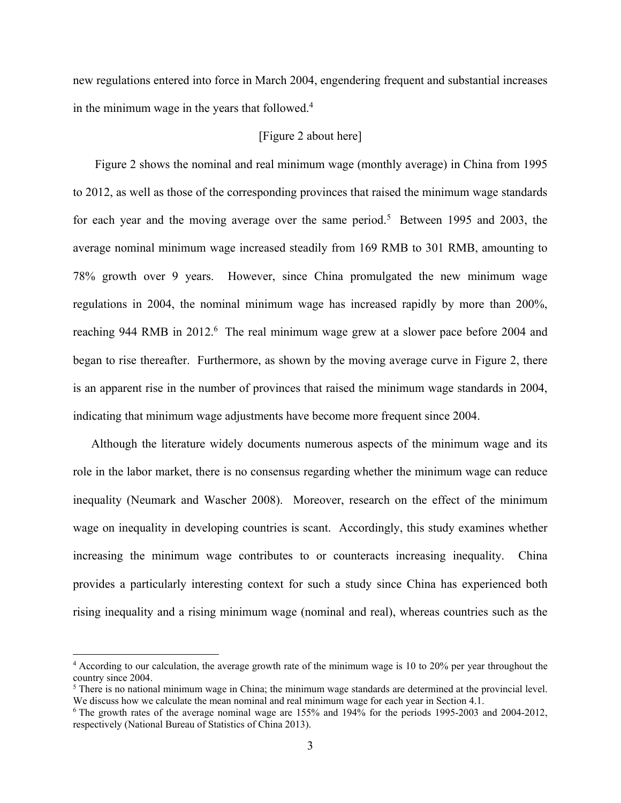new regulations entered into force in March 2004, engendering frequent and substantial increases in the minimum wage in the years that followed. $4$ 

#### [Figure 2 about here]

Figure 2 shows the nominal and real minimum wage (monthly average) in China from 1995 to 2012, as well as those of the corresponding provinces that raised the minimum wage standards for each year and the moving average over the same period.<sup>5</sup> Between 1995 and 2003, the average nominal minimum wage increased steadily from 169 RMB to 301 RMB, amounting to 78% growth over 9 years. However, since China promulgated the new minimum wage regulations in 2004, the nominal minimum wage has increased rapidly by more than 200%, reaching 944 RMB in 2012.<sup>6</sup> The real minimum wage grew at a slower pace before 2004 and began to rise thereafter. Furthermore, as shown by the moving average curve in Figure 2, there is an apparent rise in the number of provinces that raised the minimum wage standards in 2004, indicating that minimum wage adjustments have become more frequent since 2004.

Although the literature widely documents numerous aspects of the minimum wage and its role in the labor market, there is no consensus regarding whether the minimum wage can reduce inequality (Neumark and Wascher 2008). Moreover, research on the effect of the minimum wage on inequality in developing countries is scant. Accordingly, this study examines whether increasing the minimum wage contributes to or counteracts increasing inequality. China provides a particularly interesting context for such a study since China has experienced both rising inequality and a rising minimum wage (nominal and real), whereas countries such as the

<sup>4</sup> According to our calculation, the average growth rate of the minimum wage is 10 to 20% per year throughout the country since 2004.

 $<sup>5</sup>$  There is no national minimum wage in China; the minimum wage standards are determined at the provincial level.</sup> We discuss how we calculate the mean nominal and real minimum wage for each year in Section 4.1.

The growth rates of the average nominal wage are 155% and 194% for the periods 1995-2003 and 2004-2012, respectively (National Bureau of Statistics of China 2013).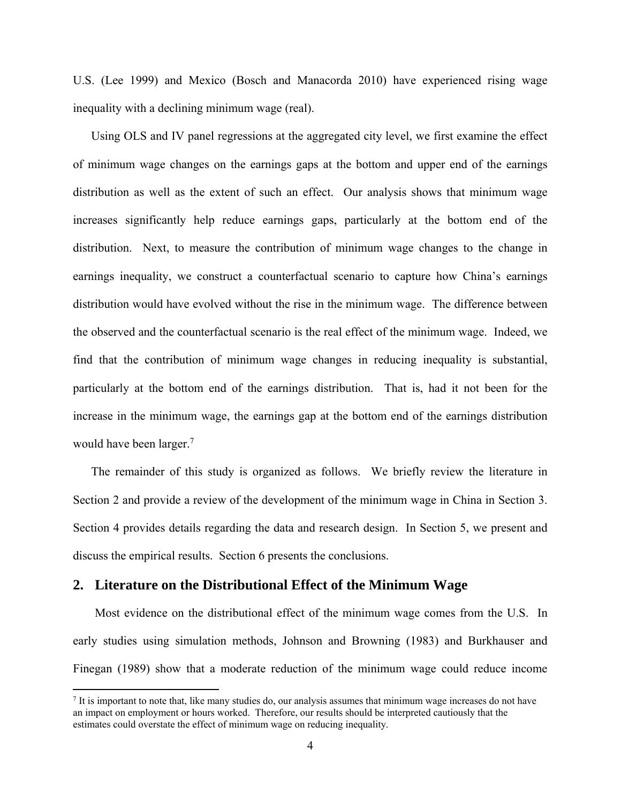U.S. (Lee 1999) and Mexico (Bosch and Manacorda 2010) have experienced rising wage inequality with a declining minimum wage (real).

Using OLS and IV panel regressions at the aggregated city level, we first examine the effect of minimum wage changes on the earnings gaps at the bottom and upper end of the earnings distribution as well as the extent of such an effect. Our analysis shows that minimum wage increases significantly help reduce earnings gaps, particularly at the bottom end of the distribution. Next, to measure the contribution of minimum wage changes to the change in earnings inequality, we construct a counterfactual scenario to capture how China's earnings distribution would have evolved without the rise in the minimum wage. The difference between the observed and the counterfactual scenario is the real effect of the minimum wage. Indeed, we find that the contribution of minimum wage changes in reducing inequality is substantial, particularly at the bottom end of the earnings distribution. That is, had it not been for the increase in the minimum wage, the earnings gap at the bottom end of the earnings distribution would have been larger.<sup>7</sup>

The remainder of this study is organized as follows. We briefly review the literature in Section 2 and provide a review of the development of the minimum wage in China in Section 3. Section 4 provides details regarding the data and research design. In Section 5, we present and discuss the empirical results. Section 6 presents the conclusions.

### **2. Literature on the Distributional Effect of the Minimum Wage**

Most evidence on the distributional effect of the minimum wage comes from the U.S. In early studies using simulation methods, Johnson and Browning (1983) and Burkhauser and Finegan (1989) show that a moderate reduction of the minimum wage could reduce income

<sup>7</sup> It is important to note that, like many studies do, our analysis assumes that minimum wage increases do not have an impact on employment or hours worked. Therefore, our results should be interpreted cautiously that the estimates could overstate the effect of minimum wage on reducing inequality.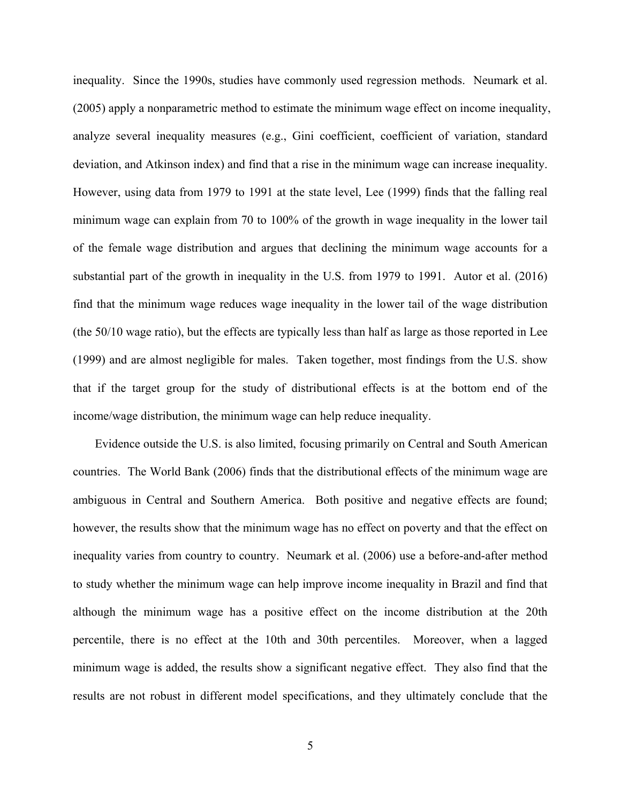inequality. Since the 1990s, studies have commonly used regression methods. Neumark et al. (2005) apply a nonparametric method to estimate the minimum wage effect on income inequality, analyze several inequality measures (e.g., Gini coefficient, coefficient of variation, standard deviation, and Atkinson index) and find that a rise in the minimum wage can increase inequality. However, using data from 1979 to 1991 at the state level, Lee (1999) finds that the falling real minimum wage can explain from 70 to 100% of the growth in wage inequality in the lower tail of the female wage distribution and argues that declining the minimum wage accounts for a substantial part of the growth in inequality in the U.S. from 1979 to 1991. Autor et al. (2016) find that the minimum wage reduces wage inequality in the lower tail of the wage distribution (the 50/10 wage ratio), but the effects are typically less than half as large as those reported in Lee (1999) and are almost negligible for males. Taken together, most findings from the U.S. show that if the target group for the study of distributional effects is at the bottom end of the income/wage distribution, the minimum wage can help reduce inequality.

Evidence outside the U.S. is also limited, focusing primarily on Central and South American countries. The World Bank (2006) finds that the distributional effects of the minimum wage are ambiguous in Central and Southern America. Both positive and negative effects are found; however, the results show that the minimum wage has no effect on poverty and that the effect on inequality varies from country to country. Neumark et al. (2006) use a before-and-after method to study whether the minimum wage can help improve income inequality in Brazil and find that although the minimum wage has a positive effect on the income distribution at the 20th percentile, there is no effect at the 10th and 30th percentiles. Moreover, when a lagged minimum wage is added, the results show a significant negative effect. They also find that the results are not robust in different model specifications, and they ultimately conclude that the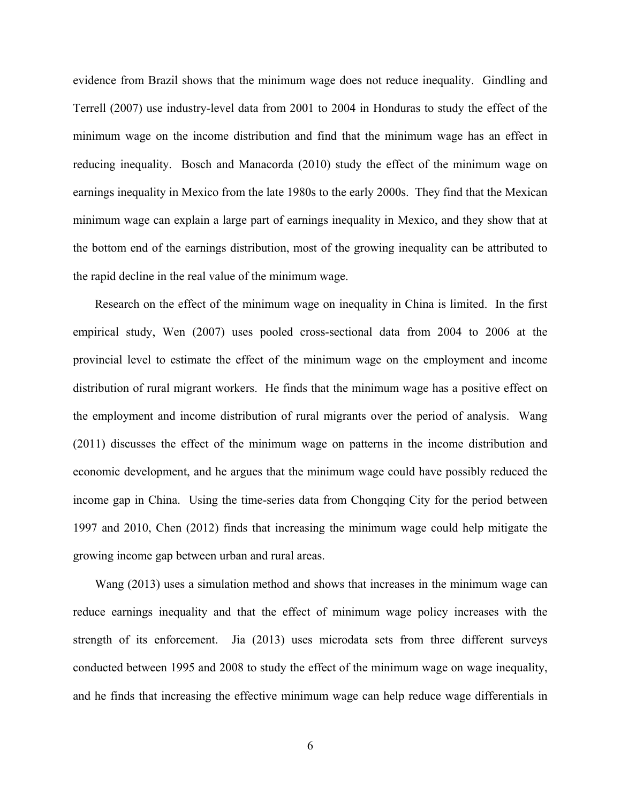evidence from Brazil shows that the minimum wage does not reduce inequality. Gindling and Terrell (2007) use industry-level data from 2001 to 2004 in Honduras to study the effect of the minimum wage on the income distribution and find that the minimum wage has an effect in reducing inequality. Bosch and Manacorda (2010) study the effect of the minimum wage on earnings inequality in Mexico from the late 1980s to the early 2000s. They find that the Mexican minimum wage can explain a large part of earnings inequality in Mexico, and they show that at the bottom end of the earnings distribution, most of the growing inequality can be attributed to the rapid decline in the real value of the minimum wage.

Research on the effect of the minimum wage on inequality in China is limited. In the first empirical study, Wen (2007) uses pooled cross-sectional data from 2004 to 2006 at the provincial level to estimate the effect of the minimum wage on the employment and income distribution of rural migrant workers. He finds that the minimum wage has a positive effect on the employment and income distribution of rural migrants over the period of analysis. Wang (2011) discusses the effect of the minimum wage on patterns in the income distribution and economic development, and he argues that the minimum wage could have possibly reduced the income gap in China. Using the time-series data from Chongqing City for the period between 1997 and 2010, Chen (2012) finds that increasing the minimum wage could help mitigate the growing income gap between urban and rural areas.

Wang (2013) uses a simulation method and shows that increases in the minimum wage can reduce earnings inequality and that the effect of minimum wage policy increases with the strength of its enforcement. Jia (2013) uses microdata sets from three different surveys conducted between 1995 and 2008 to study the effect of the minimum wage on wage inequality, and he finds that increasing the effective minimum wage can help reduce wage differentials in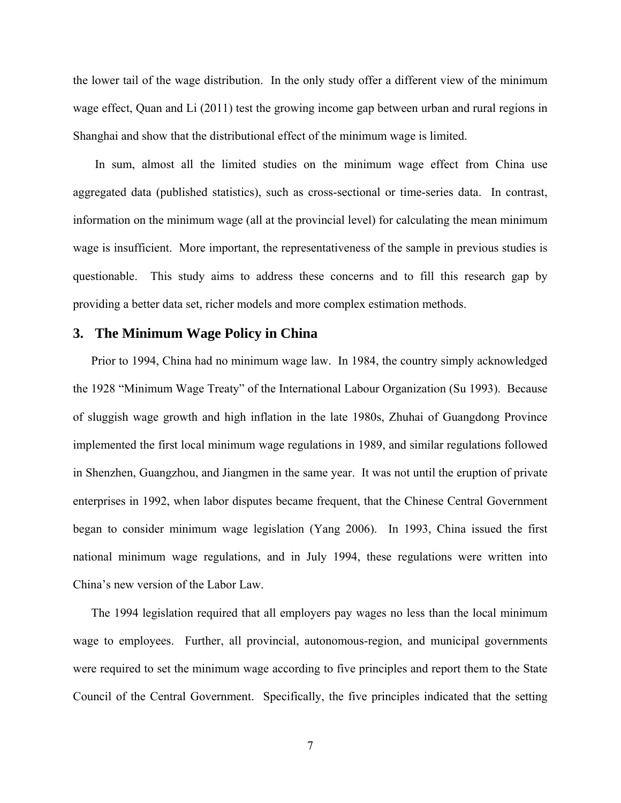the lower tail of the wage distribution. In the only study offer a different view of the minimum wage effect, Quan and Li (2011) test the growing income gap between urban and rural regions in Shanghai and show that the distributional effect of the minimum wage is limited.

In sum, almost all the limited studies on the minimum wage effect from China use aggregated data (published statistics), such as cross-sectional or time-series data. In contrast, information on the minimum wage (all at the provincial level) for calculating the mean minimum wage is insufficient. More important, the representativeness of the sample in previous studies is questionable. This study aims to address these concerns and to fill this research gap by providing a better data set, richer models and more complex estimation methods.

### **3. The Minimum Wage Policy in China**

Prior to 1994, China had no minimum wage law. In 1984, the country simply acknowledged the 1928 "Minimum Wage Treaty" of the International Labour Organization (Su 1993). Because of sluggish wage growth and high inflation in the late 1980s, Zhuhai of Guangdong Province implemented the first local minimum wage regulations in 1989, and similar regulations followed in Shenzhen, Guangzhou, and Jiangmen in the same year. It was not until the eruption of private enterprises in 1992, when labor disputes became frequent, that the Chinese Central Government began to consider minimum wage legislation (Yang 2006). In 1993, China issued the first national minimum wage regulations, and in July 1994, these regulations were written into China's new version of the Labor Law.

The 1994 legislation required that all employers pay wages no less than the local minimum wage to employees. Further, all provincial, autonomous-region, and municipal governments were required to set the minimum wage according to five principles and report them to the State Council of the Central Government. Specifically, the five principles indicated that the setting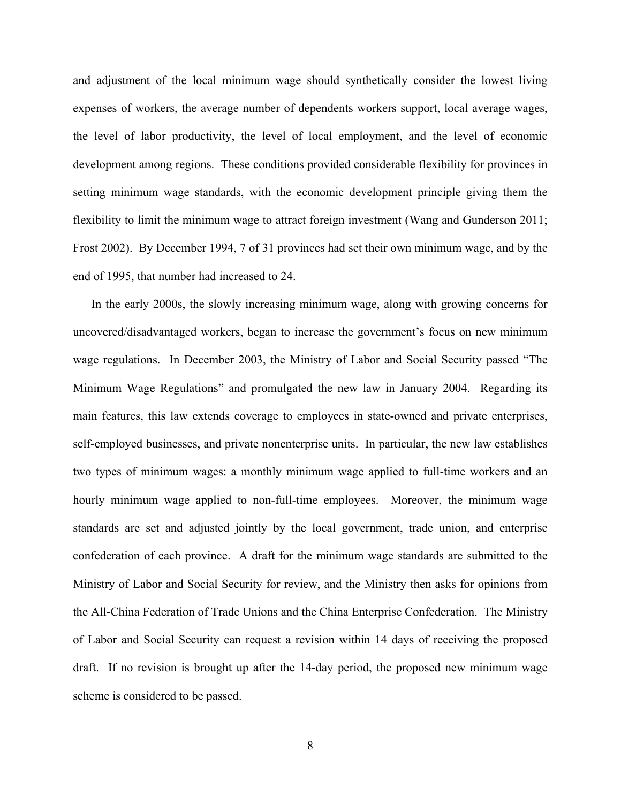and adjustment of the local minimum wage should synthetically consider the lowest living expenses of workers, the average number of dependents workers support, local average wages, the level of labor productivity, the level of local employment, and the level of economic development among regions. These conditions provided considerable flexibility for provinces in setting minimum wage standards, with the economic development principle giving them the flexibility to limit the minimum wage to attract foreign investment (Wang and Gunderson 2011; Frost 2002). By December 1994, 7 of 31 provinces had set their own minimum wage, and by the end of 1995, that number had increased to 24.

In the early 2000s, the slowly increasing minimum wage, along with growing concerns for uncovered/disadvantaged workers, began to increase the government's focus on new minimum wage regulations. In December 2003, the Ministry of Labor and Social Security passed "The Minimum Wage Regulations" and promulgated the new law in January 2004. Regarding its main features, this law extends coverage to employees in state-owned and private enterprises, self-employed businesses, and private nonenterprise units. In particular, the new law establishes two types of minimum wages: a monthly minimum wage applied to full-time workers and an hourly minimum wage applied to non-full-time employees. Moreover, the minimum wage standards are set and adjusted jointly by the local government, trade union, and enterprise confederation of each province. A draft for the minimum wage standards are submitted to the Ministry of Labor and Social Security for review, and the Ministry then asks for opinions from the All-China Federation of Trade Unions and the China Enterprise Confederation. The Ministry of Labor and Social Security can request a revision within 14 days of receiving the proposed draft. If no revision is brought up after the 14-day period, the proposed new minimum wage scheme is considered to be passed.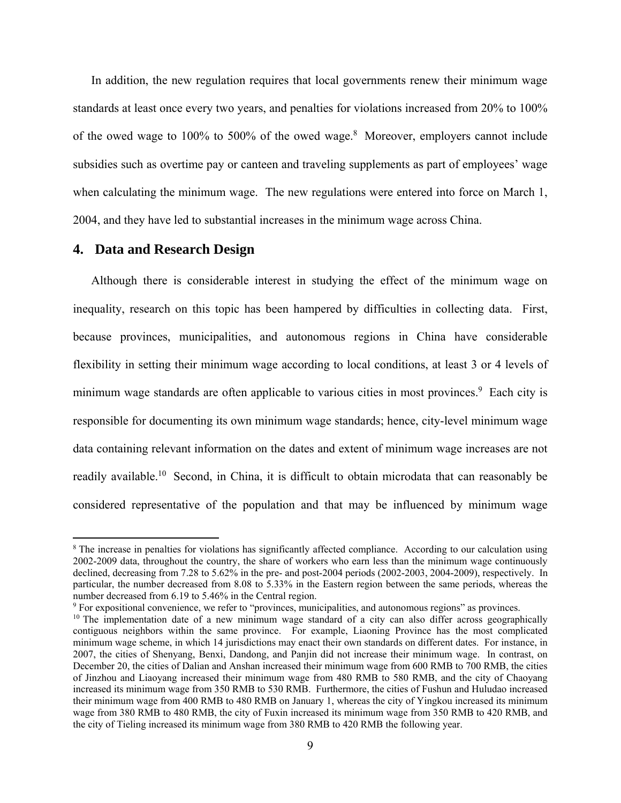In addition, the new regulation requires that local governments renew their minimum wage standards at least once every two years, and penalties for violations increased from 20% to 100% of the owed wage to  $100\%$  to 500% of the owed wage.<sup>8</sup> Moreover, employers cannot include subsidies such as overtime pay or canteen and traveling supplements as part of employees' wage when calculating the minimum wage. The new regulations were entered into force on March 1, 2004, and they have led to substantial increases in the minimum wage across China.

#### **4. Data and Research Design**

Although there is considerable interest in studying the effect of the minimum wage on inequality, research on this topic has been hampered by difficulties in collecting data. First, because provinces, municipalities, and autonomous regions in China have considerable flexibility in setting their minimum wage according to local conditions, at least 3 or 4 levels of minimum wage standards are often applicable to various cities in most provinces.<sup>9</sup> Each city is responsible for documenting its own minimum wage standards; hence, city-level minimum wage data containing relevant information on the dates and extent of minimum wage increases are not readily available.<sup>10</sup> Second, in China, it is difficult to obtain microdata that can reasonably be considered representative of the population and that may be influenced by minimum wage

<sup>&</sup>lt;sup>8</sup> The increase in penalties for violations has significantly affected compliance. According to our calculation using 2002-2009 data, throughout the country, the share of workers who earn less than the minimum wage continuously declined, decreasing from 7.28 to 5.62% in the pre- and post-2004 periods (2002-2003, 2004-2009), respectively. In particular, the number decreased from 8.08 to 5.33% in the Eastern region between the same periods, whereas the number decreased from 6.19 to 5.46% in the Central region.

<sup>&</sup>lt;sup>9</sup> For expositional convenience, we refer to "provinces, municipalities, and autonomous regions" as provinces.

 $10$  The implementation date of a new minimum wage standard of a city can also differ across geographically contiguous neighbors within the same province. For example, Liaoning Province has the most complicated minimum wage scheme, in which 14 jurisdictions may enact their own standards on different dates. For instance, in 2007, the cities of Shenyang, Benxi, Dandong, and Panjin did not increase their minimum wage. In contrast, on December 20, the cities of Dalian and Anshan increased their minimum wage from 600 RMB to 700 RMB, the cities of Jinzhou and Liaoyang increased their minimum wage from 480 RMB to 580 RMB, and the city of Chaoyang increased its minimum wage from 350 RMB to 530 RMB. Furthermore, the cities of Fushun and Huludao increased their minimum wage from 400 RMB to 480 RMB on January 1, whereas the city of Yingkou increased its minimum wage from 380 RMB to 480 RMB, the city of Fuxin increased its minimum wage from 350 RMB to 420 RMB, and the city of Tieling increased its minimum wage from 380 RMB to 420 RMB the following year.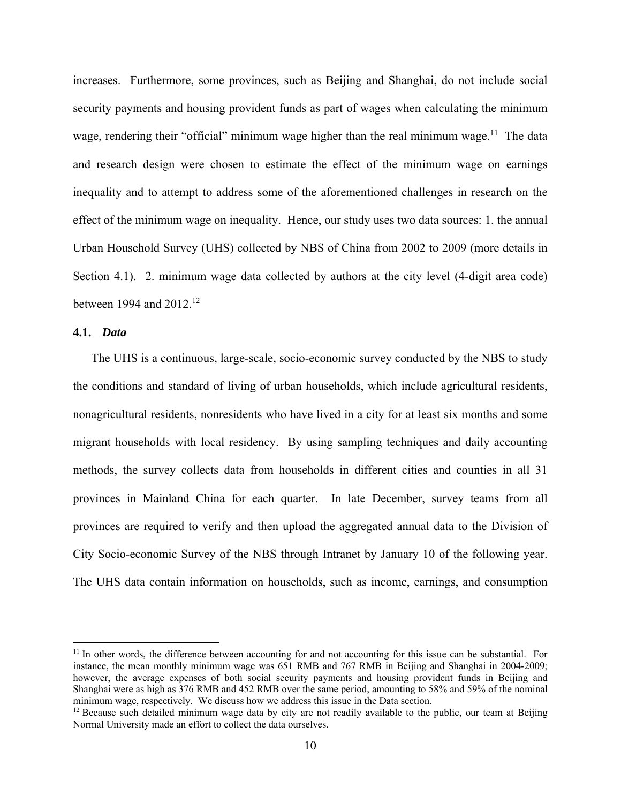increases. Furthermore, some provinces, such as Beijing and Shanghai, do not include social security payments and housing provident funds as part of wages when calculating the minimum wage, rendering their "official" minimum wage higher than the real minimum wage.<sup>11</sup> The data and research design were chosen to estimate the effect of the minimum wage on earnings inequality and to attempt to address some of the aforementioned challenges in research on the effect of the minimum wage on inequality. Hence, our study uses two data sources: 1. the annual Urban Household Survey (UHS) collected by NBS of China from 2002 to 2009 (more details in Section 4.1). 2. minimum wage data collected by authors at the city level (4-digit area code) between 1994 and  $2012^{12}$ 

#### **4.1.** *Data*

The UHS is a continuous, large-scale, socio-economic survey conducted by the NBS to study the conditions and standard of living of urban households, which include agricultural residents, nonagricultural residents, nonresidents who have lived in a city for at least six months and some migrant households with local residency. By using sampling techniques and daily accounting methods, the survey collects data from households in different cities and counties in all 31 provinces in Mainland China for each quarter. In late December, survey teams from all provinces are required to verify and then upload the aggregated annual data to the Division of City Socio-economic Survey of the NBS through Intranet by January 10 of the following year. The UHS data contain information on households, such as income, earnings, and consumption

 $11$  In other words, the difference between accounting for and not accounting for this issue can be substantial. For instance, the mean monthly minimum wage was 651 RMB and 767 RMB in Beijing and Shanghai in 2004-2009; however, the average expenses of both social security payments and housing provident funds in Beijing and Shanghai were as high as 376 RMB and 452 RMB over the same period, amounting to 58% and 59% of the nominal minimum wage, respectively. We discuss how we address this issue in the Data section.

 $12$  Because such detailed minimum wage data by city are not readily available to the public, our team at Beijing Normal University made an effort to collect the data ourselves.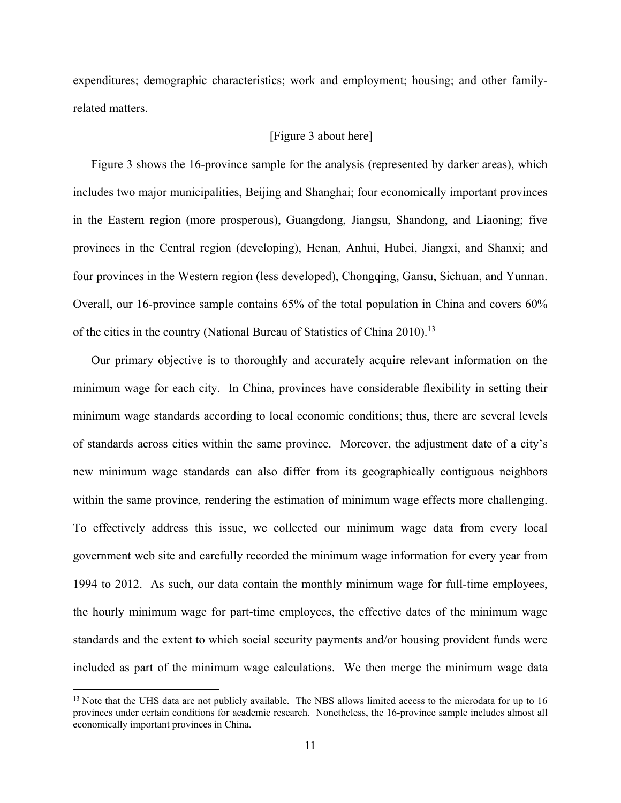expenditures; demographic characteristics; work and employment; housing; and other familyrelated matters.

#### [Figure 3 about here]

Figure 3 shows the 16-province sample for the analysis (represented by darker areas), which includes two major municipalities, Beijing and Shanghai; four economically important provinces in the Eastern region (more prosperous), Guangdong, Jiangsu, Shandong, and Liaoning; five provinces in the Central region (developing), Henan, Anhui, Hubei, Jiangxi, and Shanxi; and four provinces in the Western region (less developed), Chongqing, Gansu, Sichuan, and Yunnan. Overall, our 16-province sample contains 65% of the total population in China and covers 60% of the cities in the country (National Bureau of Statistics of China 2010).<sup>13</sup>

Our primary objective is to thoroughly and accurately acquire relevant information on the minimum wage for each city. In China, provinces have considerable flexibility in setting their minimum wage standards according to local economic conditions; thus, there are several levels of standards across cities within the same province. Moreover, the adjustment date of a city's new minimum wage standards can also differ from its geographically contiguous neighbors within the same province, rendering the estimation of minimum wage effects more challenging. To effectively address this issue, we collected our minimum wage data from every local government web site and carefully recorded the minimum wage information for every year from 1994 to 2012. As such, our data contain the monthly minimum wage for full-time employees, the hourly minimum wage for part-time employees, the effective dates of the minimum wage standards and the extent to which social security payments and/or housing provident funds were included as part of the minimum wage calculations. We then merge the minimum wage data

<sup>&</sup>lt;sup>13</sup> Note that the UHS data are not publicly available. The NBS allows limited access to the microdata for up to 16 provinces under certain conditions for academic research. Nonetheless, the 16-province sample includes almost all economically important provinces in China.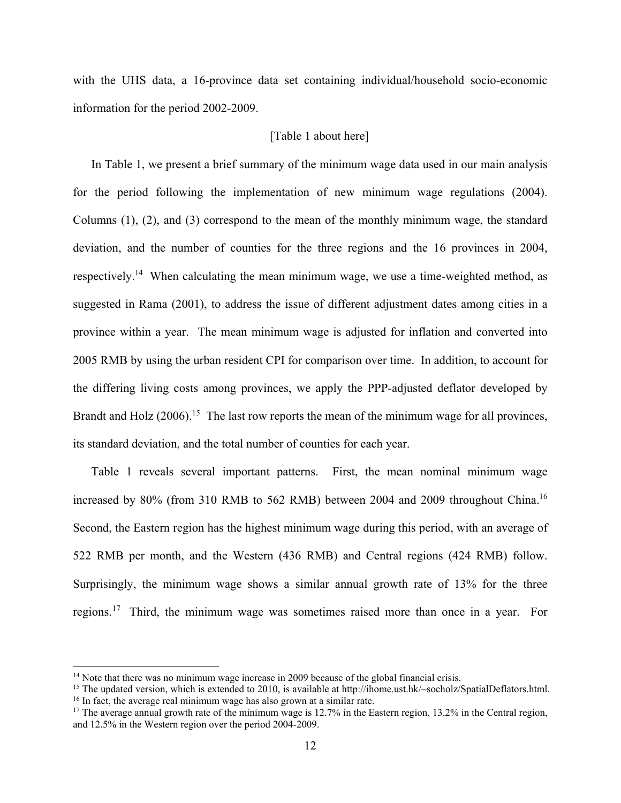with the UHS data, a 16-province data set containing individual/household socio-economic information for the period 2002-2009.

#### [Table 1 about here]

In Table 1, we present a brief summary of the minimum wage data used in our main analysis for the period following the implementation of new minimum wage regulations (2004). Columns (1), (2), and (3) correspond to the mean of the monthly minimum wage, the standard deviation, and the number of counties for the three regions and the 16 provinces in 2004, respectively.14 When calculating the mean minimum wage, we use a time-weighted method, as suggested in Rama (2001), to address the issue of different adjustment dates among cities in a province within a year. The mean minimum wage is adjusted for inflation and converted into 2005 RMB by using the urban resident CPI for comparison over time. In addition, to account for the differing living costs among provinces, we apply the PPP-adjusted deflator developed by Brandt and Holz  $(2006)$ <sup>15</sup>. The last row reports the mean of the minimum wage for all provinces, its standard deviation, and the total number of counties for each year.

Table 1 reveals several important patterns. First, the mean nominal minimum wage increased by 80% (from 310 RMB to 562 RMB) between 2004 and 2009 throughout China.<sup>16</sup> Second, the Eastern region has the highest minimum wage during this period, with an average of 522 RMB per month, and the Western (436 RMB) and Central regions (424 RMB) follow. Surprisingly, the minimum wage shows a similar annual growth rate of 13% for the three regions.17 Third, the minimum wage was sometimes raised more than once in a year. For

<sup>&</sup>lt;sup>14</sup> Note that there was no minimum wage increase in 2009 because of the global financial crisis.<br><sup>15</sup> The updated version, which is extended to 2010, is available at http://ihome.ust.hk/~socholz/SpatialDeflators.html.<br><sup>1</sup>

and 12.5% in the Western region over the period 2004-2009.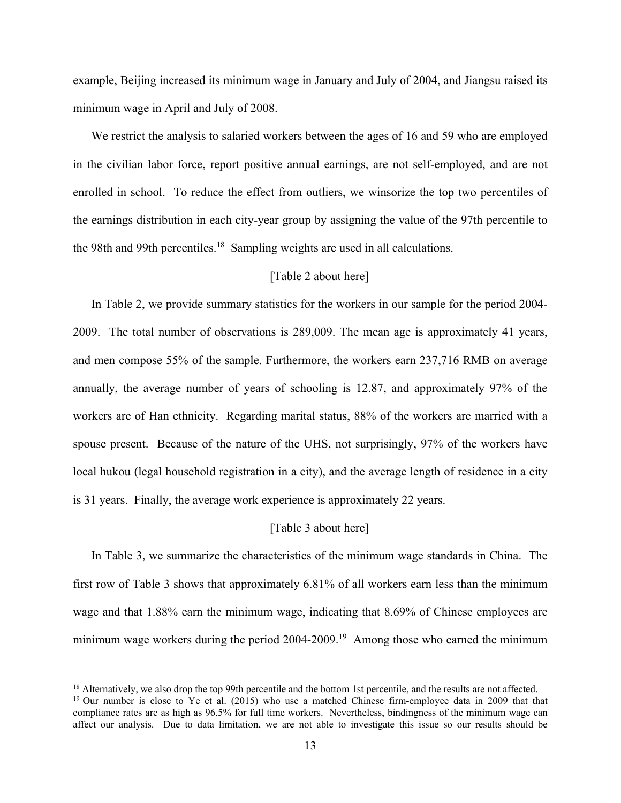example, Beijing increased its minimum wage in January and July of 2004, and Jiangsu raised its minimum wage in April and July of 2008.

We restrict the analysis to salaried workers between the ages of 16 and 59 who are employed in the civilian labor force, report positive annual earnings, are not self-employed, and are not enrolled in school. To reduce the effect from outliers, we winsorize the top two percentiles of the earnings distribution in each city-year group by assigning the value of the 97th percentile to the 98th and 99th percentiles.<sup>18</sup> Sampling weights are used in all calculations.

#### [Table 2 about here]

In Table 2, we provide summary statistics for the workers in our sample for the period 2004- 2009. The total number of observations is 289,009. The mean age is approximately 41 years, and men compose 55% of the sample. Furthermore, the workers earn 237,716 RMB on average annually, the average number of years of schooling is 12.87, and approximately 97% of the workers are of Han ethnicity. Regarding marital status, 88% of the workers are married with a spouse present. Because of the nature of the UHS, not surprisingly, 97% of the workers have local hukou (legal household registration in a city), and the average length of residence in a city is 31 years. Finally, the average work experience is approximately 22 years.

#### [Table 3 about here]

In Table 3, we summarize the characteristics of the minimum wage standards in China. The first row of Table 3 shows that approximately 6.81% of all workers earn less than the minimum wage and that 1.88% earn the minimum wage, indicating that 8.69% of Chinese employees are minimum wage workers during the period 2004-2009.<sup>19</sup> Among those who earned the minimum

<sup>&</sup>lt;sup>18</sup> Alternatively, we also drop the top 99th percentile and the bottom 1st percentile, and the results are not affected.<br><sup>19</sup> Our number is close to Ye et al. (2015) who use a matched Chinese firm-employee data in 2009 t

compliance rates are as high as 96.5% for full time workers. Nevertheless, bindingness of the minimum wage can affect our analysis. Due to data limitation, we are not able to investigate this issue so our results should be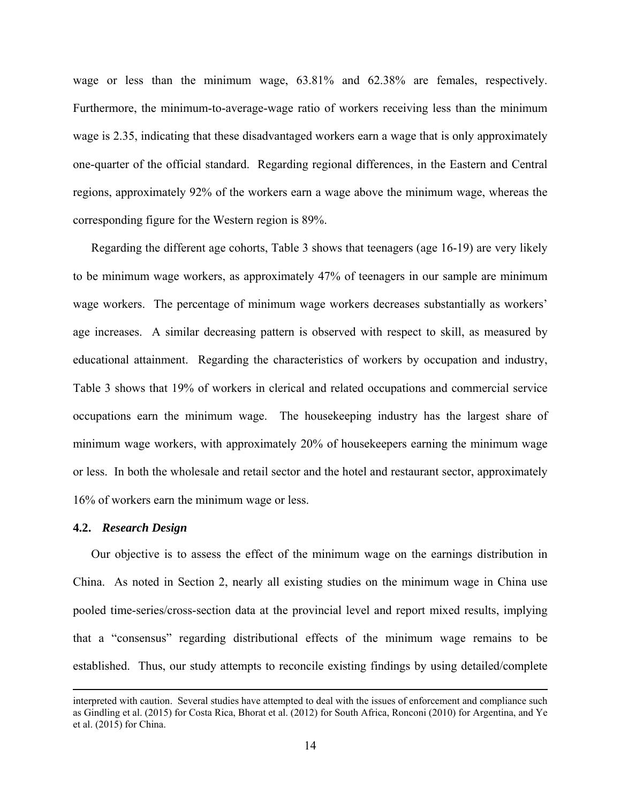wage or less than the minimum wage, 63.81% and 62.38% are females, respectively. Furthermore, the minimum-to-average-wage ratio of workers receiving less than the minimum wage is 2.35, indicating that these disadvantaged workers earn a wage that is only approximately one-quarter of the official standard. Regarding regional differences, in the Eastern and Central regions, approximately 92% of the workers earn a wage above the minimum wage, whereas the corresponding figure for the Western region is 89%.

Regarding the different age cohorts, Table 3 shows that teenagers (age 16-19) are very likely to be minimum wage workers, as approximately 47% of teenagers in our sample are minimum wage workers. The percentage of minimum wage workers decreases substantially as workers' age increases. A similar decreasing pattern is observed with respect to skill, as measured by educational attainment. Regarding the characteristics of workers by occupation and industry, Table 3 shows that 19% of workers in clerical and related occupations and commercial service occupations earn the minimum wage. The housekeeping industry has the largest share of minimum wage workers, with approximately 20% of housekeepers earning the minimum wage or less. In both the wholesale and retail sector and the hotel and restaurant sector, approximately 16% of workers earn the minimum wage or less.

#### **4.2.** *Research Design*

Our objective is to assess the effect of the minimum wage on the earnings distribution in China. As noted in Section 2, nearly all existing studies on the minimum wage in China use pooled time-series/cross-section data at the provincial level and report mixed results, implying that a "consensus" regarding distributional effects of the minimum wage remains to be established. Thus, our study attempts to reconcile existing findings by using detailed/complete

<u> 1989 - Johann Stein, marwolaethau a gweledydd a ganlad y ganlad y ganlad y ganlad y ganlad y ganlad y ganlad</u>

interpreted with caution. Several studies have attempted to deal with the issues of enforcement and compliance such as Gindling et al. (2015) for Costa Rica, Bhorat et al. (2012) for South Africa, Ronconi (2010) for Argentina, and Ye et al. (2015) for China.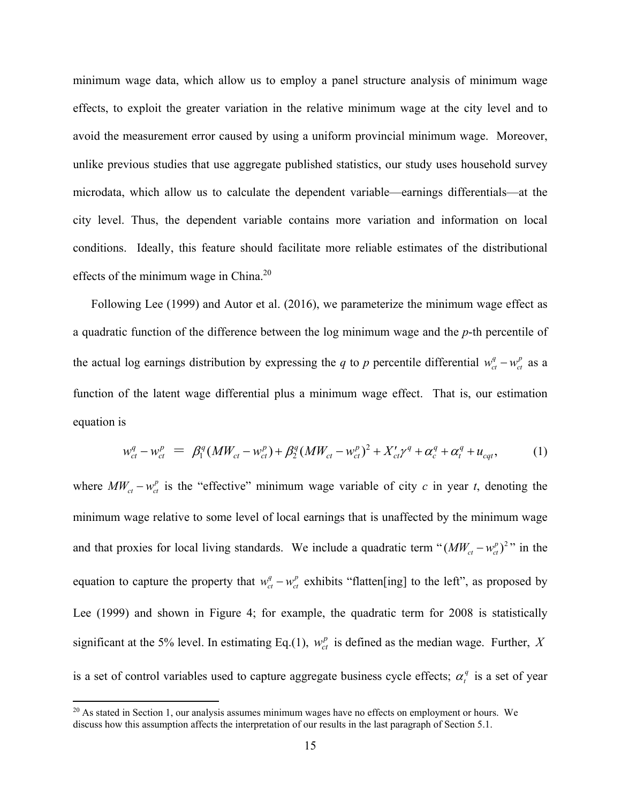minimum wage data, which allow us to employ a panel structure analysis of minimum wage effects, to exploit the greater variation in the relative minimum wage at the city level and to avoid the measurement error caused by using a uniform provincial minimum wage. Moreover, unlike previous studies that use aggregate published statistics, our study uses household survey microdata, which allow us to calculate the dependent variable—earnings differentials—at the city level. Thus, the dependent variable contains more variation and information on local conditions. Ideally, this feature should facilitate more reliable estimates of the distributional effects of the minimum wage in China.20

Following Lee (1999) and Autor et al. (2016), we parameterize the minimum wage effect as a quadratic function of the difference between the log minimum wage and the *p*-th percentile of the actual log earnings distribution by expressing the *q* to *p* percentile differential  $w_{ct}^q - w_{ct}^p$  as a function of the latent wage differential plus a minimum wage effect. That is, our estimation equation is

$$
w_{ct}^{q} - w_{ct}^{p} = \beta_{1}^{q} (MW_{ct} - w_{ct}^{p}) + \beta_{2}^{q} (MW_{ct} - w_{ct}^{p})^{2} + X_{ct}'\gamma^{q} + \alpha_{c}^{q} + \alpha_{t}^{q} + u_{cqt}, \qquad (1)
$$

where  $MW_{ct} - w_{ct}^p$  is the "effective" minimum wage variable of city *c* in year *t*, denoting the minimum wage relative to some level of local earnings that is unaffected by the minimum wage and that proxies for local living standards. We include a quadratic term " $(MW_{ct} - w_{ct}^p)^2$ " in the equation to capture the property that  $w_{ct}^q - w_{ct}^p$  exhibits "flatten[ing] to the left", as proposed by Lee (1999) and shown in Figure 4; for example, the quadratic term for 2008 is statistically significant at the 5% level. In estimating Eq.(1),  $w_c^p$  is defined as the median wage. Further, *X* is a set of control variables used to capture aggregate business cycle effects;  $\alpha_t^q$  is a set of year

<sup>&</sup>lt;sup>20</sup> As stated in Section 1, our analysis assumes minimum wages have no effects on employment or hours. We discuss how this assumption affects the interpretation of our results in the last paragraph of Section 5.1.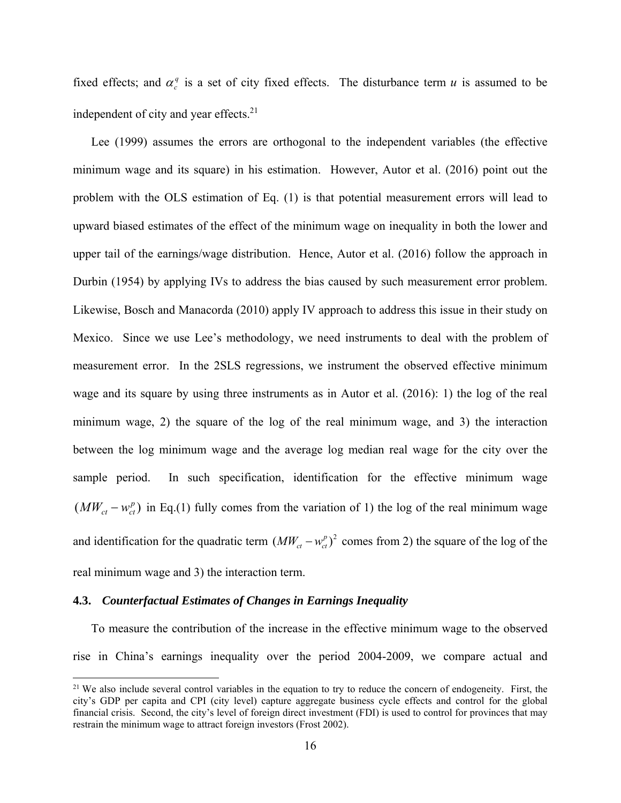fixed effects; and  $\alpha_c^q$  is a set of city fixed effects. The disturbance term  $u$  is assumed to be independent of city and year effects.<sup>21</sup>

Lee (1999) assumes the errors are orthogonal to the independent variables (the effective minimum wage and its square) in his estimation. However, Autor et al. (2016) point out the problem with the OLS estimation of Eq. (1) is that potential measurement errors will lead to upward biased estimates of the effect of the minimum wage on inequality in both the lower and upper tail of the earnings/wage distribution. Hence, Autor et al. (2016) follow the approach in Durbin (1954) by applying IVs to address the bias caused by such measurement error problem. Likewise, Bosch and Manacorda (2010) apply IV approach to address this issue in their study on Mexico. Since we use Lee's methodology, we need instruments to deal with the problem of measurement error. In the 2SLS regressions, we instrument the observed effective minimum wage and its square by using three instruments as in Autor et al. (2016): 1) the log of the real minimum wage, 2) the square of the log of the real minimum wage, and 3) the interaction between the log minimum wage and the average log median real wage for the city over the sample period. In such specification, identification for the effective minimum wage  $(MW_{ct}-w_{ct}^p)$  in Eq.(1) fully comes from the variation of 1) the log of the real minimum wage and identification for the quadratic term  $(MW_{ct} - w_{ct}^p)^2$  comes from 2) the square of the log of the real minimum wage and 3) the interaction term.

#### **4.3.** *Counterfactual Estimates of Changes in Earnings Inequality*

To measure the contribution of the increase in the effective minimum wage to the observed rise in China's earnings inequality over the period 2004-2009, we compare actual and

<sup>&</sup>lt;sup>21</sup> We also include several control variables in the equation to try to reduce the concern of endogeneity. First, the city's GDP per capita and CPI (city level) capture aggregate business cycle effects and control for the global financial crisis. Second, the city's level of foreign direct investment (FDI) is used to control for provinces that may restrain the minimum wage to attract foreign investors (Frost 2002).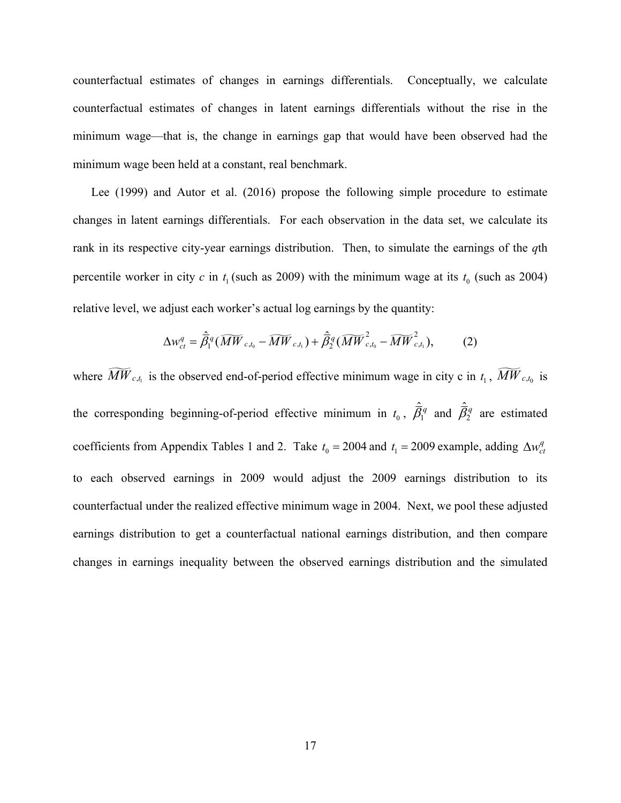counterfactual estimates of changes in earnings differentials. Conceptually, we calculate counterfactual estimates of changes in latent earnings differentials without the rise in the minimum wage—that is, the change in earnings gap that would have been observed had the minimum wage been held at a constant, real benchmark.

Lee (1999) and Autor et al. (2016) propose the following simple procedure to estimate changes in latent earnings differentials. For each observation in the data set, we calculate its rank in its respective city-year earnings distribution. Then, to simulate the earnings of the *q*th percentile worker in city  $c$  in  $t_1$  (such as 2009) with the minimum wage at its  $t_0$  (such as 2004) relative level, we adjust each worker's actual log earnings by the quantity:

$$
\Delta w_{ct}^q = \hat{\overline{\beta}}_1^q (\widetilde{MW}_{c,t_0} - \widetilde{MW}_{c,t_1}) + \hat{\overline{\beta}}_2^q (\widetilde{MW}_{c,t_0}^2 - \widetilde{MW}_{c,t_1}^2),
$$
 (2)

where  $\widetilde{MW}_{c,t_1}$  is the observed end-of-period effective minimum wage in city c in  $t_1$ ,  $\widetilde{MW}_{c,t_0}$  is the corresponding beginning-of-period effective minimum in  $t_0$ ,  $\hat{\vec{B}}_1^q$  and  $\hat{\vec{B}}_2^q$  are estimated coefficients from Appendix Tables 1 and 2. Take  $t_0 = 2004$  and  $t_1 = 2009$  example, adding  $\Delta w_{ct}^q$ to each observed earnings in 2009 would adjust the 2009 earnings distribution to its counterfactual under the realized effective minimum wage in 2004. Next, we pool these adjusted earnings distribution to get a counterfactual national earnings distribution, and then compare changes in earnings inequality between the observed earnings distribution and the simulated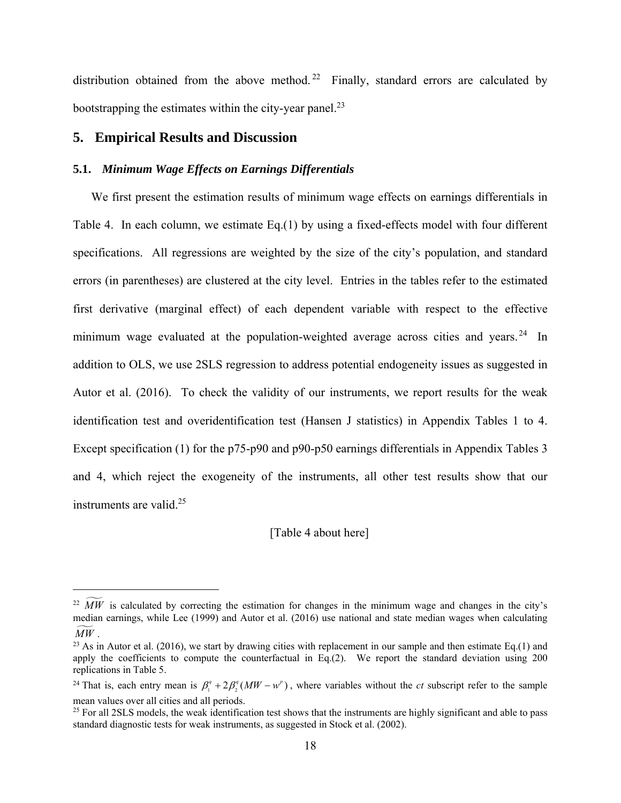distribution obtained from the above method.<sup>22</sup> Finally, standard errors are calculated by bootstrapping the estimates within the city-year panel.<sup>23</sup>

#### **5. Empirical Results and Discussion**

#### **5.1.** *Minimum Wage Effects on Earnings Differentials*

We first present the estimation results of minimum wage effects on earnings differentials in Table 4. In each column, we estimate Eq.(1) by using a fixed-effects model with four different specifications. All regressions are weighted by the size of the city's population, and standard errors (in parentheses) are clustered at the city level. Entries in the tables refer to the estimated first derivative (marginal effect) of each dependent variable with respect to the effective minimum wage evaluated at the population-weighted average across cities and years.<sup>24</sup> In addition to OLS, we use 2SLS regression to address potential endogeneity issues as suggested in Autor et al. (2016). To check the validity of our instruments, we report results for the weak identification test and overidentification test (Hansen J statistics) in Appendix Tables 1 to 4. Except specification (1) for the p75-p90 and p90-p50 earnings differentials in Appendix Tables 3 and 4, which reject the exogeneity of the instruments, all other test results show that our instruments are valid.<sup>25</sup>

#### [Table 4 about here]

 $\widetilde{MW}$  is calculated by correcting the estimation for changes in the minimum wage and changes in the city's median earnings, while Lee (1999) and Autor et al. (2016) use national and state median wages when calculating  $MW$ .

<sup>&</sup>lt;sup>23</sup> As in Autor et al. (2016), we start by drawing cities with replacement in our sample and then estimate Eq.(1) and apply the coefficients to compute the counterfactual in Eq.(2). We report the standard deviation using 200 replications in Table 5.

<sup>&</sup>lt;sup>24</sup> That is, each entry mean is  $\beta_1^q + 2\beta_2^q (MW - w^p)$ , where variables without the *ct* subscript refer to the sample mean values over all cities and all periods.

<sup>&</sup>lt;sup>25</sup> For all 2SLS models, the weak identification test shows that the instruments are highly significant and able to pass standard diagnostic tests for weak instruments, as suggested in Stock et al. (2002).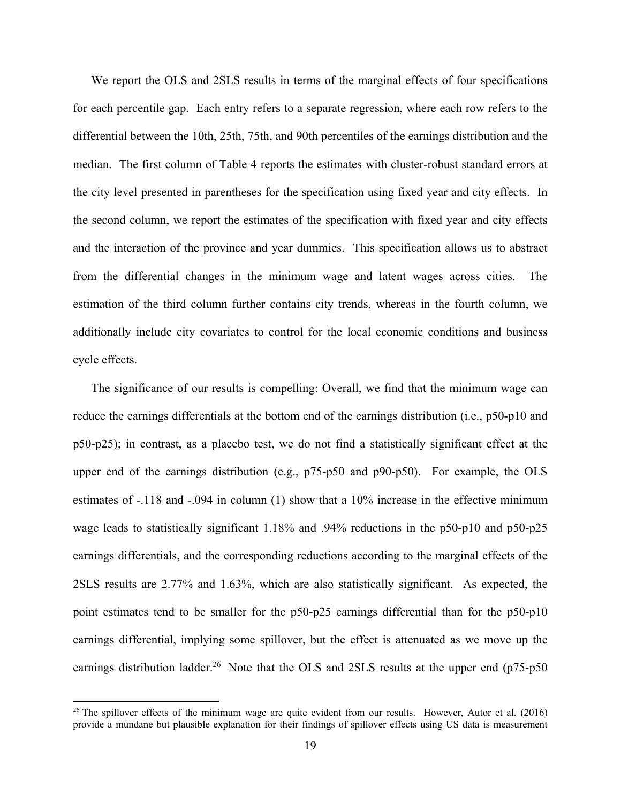We report the OLS and 2SLS results in terms of the marginal effects of four specifications for each percentile gap. Each entry refers to a separate regression, where each row refers to the differential between the 10th, 25th, 75th, and 90th percentiles of the earnings distribution and the median. The first column of Table 4 reports the estimates with cluster-robust standard errors at the city level presented in parentheses for the specification using fixed year and city effects. In the second column, we report the estimates of the specification with fixed year and city effects and the interaction of the province and year dummies. This specification allows us to abstract from the differential changes in the minimum wage and latent wages across cities. The estimation of the third column further contains city trends, whereas in the fourth column, we additionally include city covariates to control for the local economic conditions and business cycle effects.

The significance of our results is compelling: Overall, we find that the minimum wage can reduce the earnings differentials at the bottom end of the earnings distribution (i.e., p50-p10 and p50-p25); in contrast, as a placebo test, we do not find a statistically significant effect at the upper end of the earnings distribution (e.g., p75-p50 and p90-p50). For example, the OLS estimates of -.118 and -.094 in column (1) show that a 10% increase in the effective minimum wage leads to statistically significant 1.18% and .94% reductions in the p50-p10 and p50-p25 earnings differentials, and the corresponding reductions according to the marginal effects of the 2SLS results are 2.77% and 1.63%, which are also statistically significant. As expected, the point estimates tend to be smaller for the p50-p25 earnings differential than for the p50-p10 earnings differential, implying some spillover, but the effect is attenuated as we move up the earnings distribution ladder.<sup>26</sup> Note that the OLS and 2SLS results at the upper end (p75-p50)

<sup>&</sup>lt;sup>26</sup> The spillover effects of the minimum wage are quite evident from our results. However, Autor et al. (2016) provide a mundane but plausible explanation for their findings of spillover effects using US data is measurement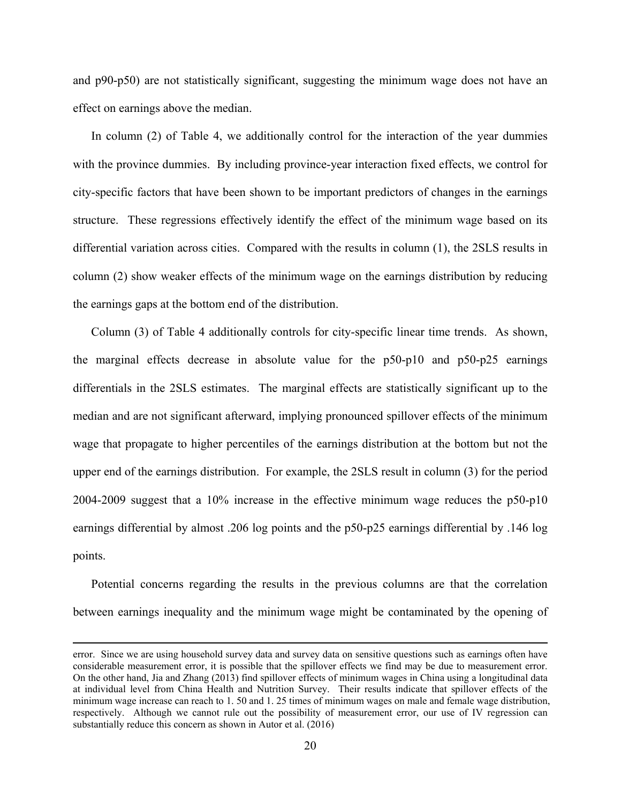and p90-p50) are not statistically significant, suggesting the minimum wage does not have an effect on earnings above the median.

In column (2) of Table 4, we additionally control for the interaction of the year dummies with the province dummies. By including province-year interaction fixed effects, we control for city-specific factors that have been shown to be important predictors of changes in the earnings structure. These regressions effectively identify the effect of the minimum wage based on its differential variation across cities. Compared with the results in column (1), the 2SLS results in column (2) show weaker effects of the minimum wage on the earnings distribution by reducing the earnings gaps at the bottom end of the distribution.

Column (3) of Table 4 additionally controls for city-specific linear time trends. As shown, the marginal effects decrease in absolute value for the p50-p10 and p50-p25 earnings differentials in the 2SLS estimates. The marginal effects are statistically significant up to the median and are not significant afterward, implying pronounced spillover effects of the minimum wage that propagate to higher percentiles of the earnings distribution at the bottom but not the upper end of the earnings distribution. For example, the 2SLS result in column (3) for the period 2004-2009 suggest that a 10% increase in the effective minimum wage reduces the p50-p10 earnings differential by almost .206 log points and the p50-p25 earnings differential by .146 log points.

Potential concerns regarding the results in the previous columns are that the correlation between earnings inequality and the minimum wage might be contaminated by the opening of

<u> 1989 - Johann Stein, marwolaethau a gweledydd a ganlad y ganlad y ganlad y ganlad y ganlad y ganlad y ganlad</u>

error. Since we are using household survey data and survey data on sensitive questions such as earnings often have considerable measurement error, it is possible that the spillover effects we find may be due to measurement error. On the other hand, Jia and Zhang (2013) find spillover effects of minimum wages in China using a longitudinal data at individual level from China Health and Nutrition Survey. Their results indicate that spillover effects of the minimum wage increase can reach to 1. 50 and 1. 25 times of minimum wages on male and female wage distribution, respectively. Although we cannot rule out the possibility of measurement error, our use of IV regression can substantially reduce this concern as shown in Autor et al. (2016)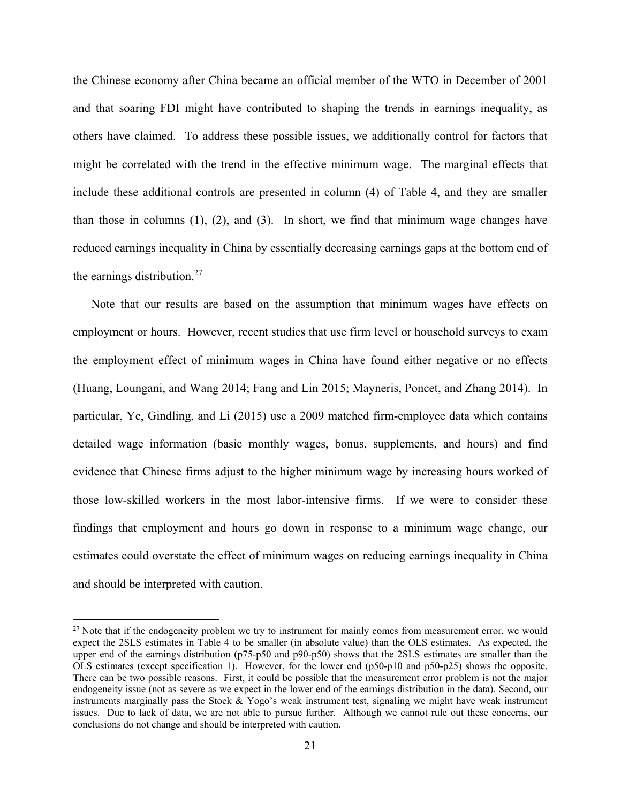the Chinese economy after China became an official member of the WTO in December of 2001 and that soaring FDI might have contributed to shaping the trends in earnings inequality, as others have claimed. To address these possible issues, we additionally control for factors that might be correlated with the trend in the effective minimum wage. The marginal effects that include these additional controls are presented in column (4) of Table 4, and they are smaller than those in columns (1), (2), and (3). In short, we find that minimum wage changes have reduced earnings inequality in China by essentially decreasing earnings gaps at the bottom end of the earnings distribution.27

Note that our results are based on the assumption that minimum wages have effects on employment or hours. However, recent studies that use firm level or household surveys to exam the employment effect of minimum wages in China have found either negative or no effects (Huang, Loungani, and Wang 2014; Fang and Lin 2015; Mayneris, Poncet, and Zhang 2014). In particular, Ye, Gindling, and Li (2015) use a 2009 matched firm-employee data which contains detailed wage information (basic monthly wages, bonus, supplements, and hours) and find evidence that Chinese firms adjust to the higher minimum wage by increasing hours worked of those low-skilled workers in the most labor-intensive firms. If we were to consider these findings that employment and hours go down in response to a minimum wage change, our estimates could overstate the effect of minimum wages on reducing earnings inequality in China and should be interpreted with caution.

<sup>&</sup>lt;sup>27</sup> Note that if the endogeneity problem we try to instrument for mainly comes from measurement error, we would expect the 2SLS estimates in Table 4 to be smaller (in absolute value) than the OLS estimates. As expected, the upper end of the earnings distribution (p75-p50 and p90-p50) shows that the 2SLS estimates are smaller than the OLS estimates (except specification 1). However, for the lower end (p50-p10 and p50-p25) shows the opposite. There can be two possible reasons. First, it could be possible that the measurement error problem is not the major endogeneity issue (not as severe as we expect in the lower end of the earnings distribution in the data). Second, our instruments marginally pass the Stock  $\& \text{Yogo's weak instrument test, signaling we might have weak instrument}$ issues. Due to lack of data, we are not able to pursue further. Although we cannot rule out these concerns, our conclusions do not change and should be interpreted with caution.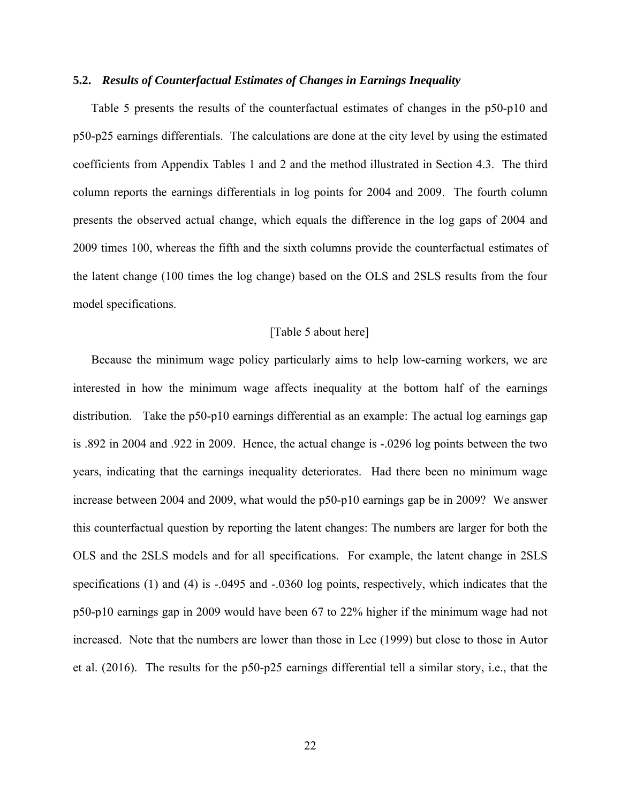#### **5.2.** *Results of Counterfactual Estimates of Changes in Earnings Inequality*

Table 5 presents the results of the counterfactual estimates of changes in the p50-p10 and p50-p25 earnings differentials. The calculations are done at the city level by using the estimated coefficients from Appendix Tables 1 and 2 and the method illustrated in Section 4.3. The third column reports the earnings differentials in log points for 2004 and 2009. The fourth column presents the observed actual change, which equals the difference in the log gaps of 2004 and 2009 times 100, whereas the fifth and the sixth columns provide the counterfactual estimates of the latent change (100 times the log change) based on the OLS and 2SLS results from the four model specifications.

#### [Table 5 about here]

Because the minimum wage policy particularly aims to help low-earning workers, we are interested in how the minimum wage affects inequality at the bottom half of the earnings distribution. Take the p50-p10 earnings differential as an example: The actual log earnings gap is .892 in 2004 and .922 in 2009. Hence, the actual change is -.0296 log points between the two years, indicating that the earnings inequality deteriorates. Had there been no minimum wage increase between 2004 and 2009, what would the p50-p10 earnings gap be in 2009? We answer this counterfactual question by reporting the latent changes: The numbers are larger for both the OLS and the 2SLS models and for all specifications. For example, the latent change in 2SLS specifications (1) and (4) is -.0495 and -.0360 log points, respectively, which indicates that the p50-p10 earnings gap in 2009 would have been 67 to 22% higher if the minimum wage had not increased. Note that the numbers are lower than those in Lee (1999) but close to those in Autor et al. (2016). The results for the p50-p25 earnings differential tell a similar story, i.e., that the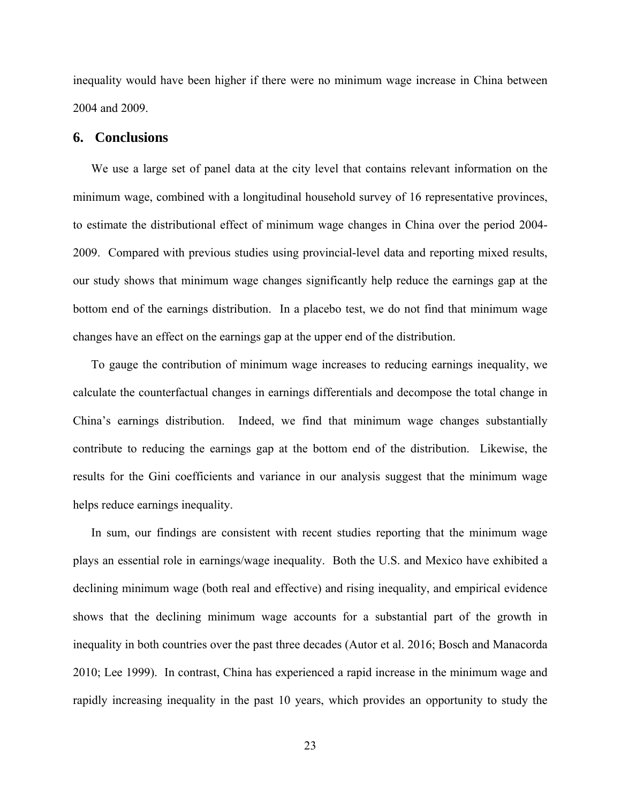inequality would have been higher if there were no minimum wage increase in China between 2004 and 2009.

#### **6. Conclusions**

We use a large set of panel data at the city level that contains relevant information on the minimum wage, combined with a longitudinal household survey of 16 representative provinces, to estimate the distributional effect of minimum wage changes in China over the period 2004- 2009. Compared with previous studies using provincial-level data and reporting mixed results, our study shows that minimum wage changes significantly help reduce the earnings gap at the bottom end of the earnings distribution. In a placebo test, we do not find that minimum wage changes have an effect on the earnings gap at the upper end of the distribution.

To gauge the contribution of minimum wage increases to reducing earnings inequality, we calculate the counterfactual changes in earnings differentials and decompose the total change in China's earnings distribution. Indeed, we find that minimum wage changes substantially contribute to reducing the earnings gap at the bottom end of the distribution. Likewise, the results for the Gini coefficients and variance in our analysis suggest that the minimum wage helps reduce earnings inequality.

In sum, our findings are consistent with recent studies reporting that the minimum wage plays an essential role in earnings/wage inequality. Both the U.S. and Mexico have exhibited a declining minimum wage (both real and effective) and rising inequality, and empirical evidence shows that the declining minimum wage accounts for a substantial part of the growth in inequality in both countries over the past three decades (Autor et al. 2016; Bosch and Manacorda 2010; Lee 1999). In contrast, China has experienced a rapid increase in the minimum wage and rapidly increasing inequality in the past 10 years, which provides an opportunity to study the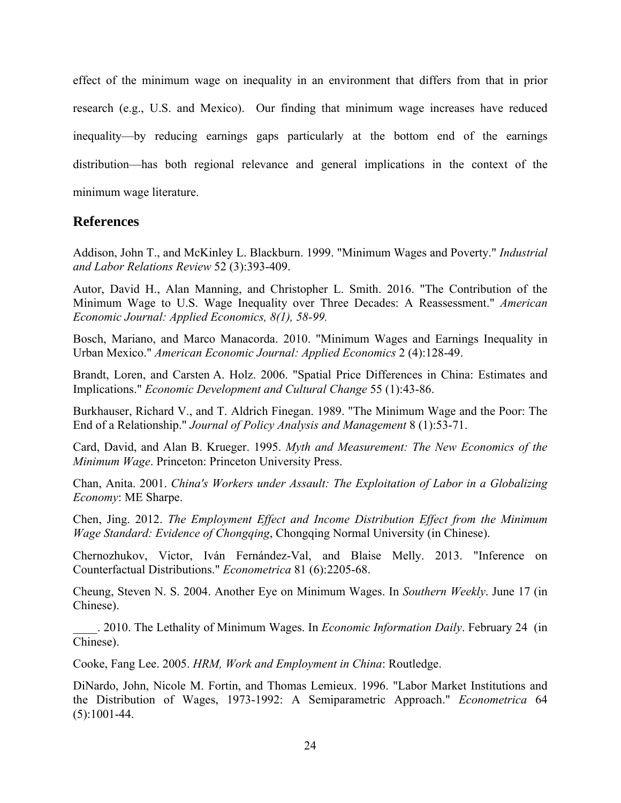effect of the minimum wage on inequality in an environment that differs from that in prior research (e.g., U.S. and Mexico). Our finding that minimum wage increases have reduced inequality—by reducing earnings gaps particularly at the bottom end of the earnings distribution—has both regional relevance and general implications in the context of the minimum wage literature.

### **References**

Addison, John T., and McKinley L. Blackburn. 1999. "Minimum Wages and Poverty." *Industrial and Labor Relations Review* 52 (3):393-409.

Autor, David H., Alan Manning, and Christopher L. Smith. 2016. "The Contribution of the Minimum Wage to U.S. Wage Inequality over Three Decades: A Reassessment." *American Economic Journal: Applied Economics, 8(1), 58-99.*

Bosch, Mariano, and Marco Manacorda. 2010. "Minimum Wages and Earnings Inequality in Urban Mexico." *American Economic Journal: Applied Economics* 2 (4):128-49.

Brandt, Loren, and Carsten A. Holz. 2006. "Spatial Price Differences in China: Estimates and Implications." *Economic Development and Cultural Change* 55 (1):43-86.

Burkhauser, Richard V., and T. Aldrich Finegan. 1989. "The Minimum Wage and the Poor: The End of a Relationship." *Journal of Policy Analysis and Management* 8 (1):53-71.

Card, David, and Alan B. Krueger. 1995. *Myth and Measurement: The New Economics of the Minimum Wage*. Princeton: Princeton University Press.

Chan, Anita. 2001. *China's Workers under Assault: The Exploitation of Labor in a Globalizing Economy*: ME Sharpe.

Chen, Jing. 2012. *The Employment Effect and Income Distribution Effect from the Minimum Wage Standard: Evidence of Chongqing*, Chongqing Normal University (in Chinese).

Chernozhukov, Victor, Iván Fernández-Val, and Blaise Melly. 2013. "Inference on Counterfactual Distributions." *Econometrica* 81 (6):2205-68.

Cheung, Steven N. S. 2004. Another Eye on Minimum Wages. In *Southern Weekly*. June 17 (in Chinese).

\_\_\_\_. 2010. The Lethality of Minimum Wages. In *Economic Information Daily*. February 24 (in Chinese).

Cooke, Fang Lee. 2005. *HRM, Work and Employment in China*: Routledge.

DiNardo, John, Nicole M. Fortin, and Thomas Lemieux. 1996. "Labor Market Institutions and the Distribution of Wages, 1973-1992: A Semiparametric Approach." *Econometrica* 64 (5):1001-44.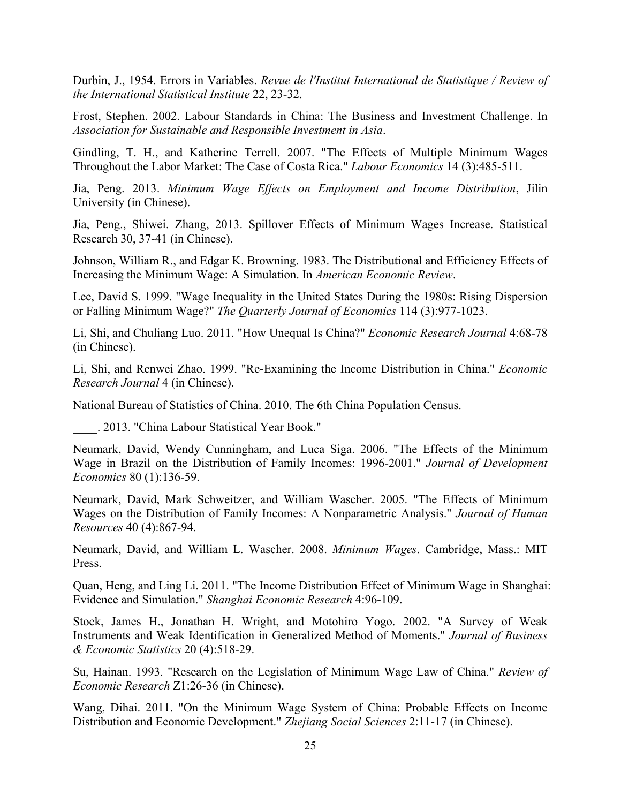Durbin, J., 1954. Errors in Variables. *Revue de l'Institut International de Statistique / Review of the International Statistical Institute* 22, 23-32.

Frost, Stephen. 2002. Labour Standards in China: The Business and Investment Challenge. In *Association for Sustainable and Responsible Investment in Asia*.

Gindling, T. H., and Katherine Terrell. 2007. "The Effects of Multiple Minimum Wages Throughout the Labor Market: The Case of Costa Rica." *Labour Economics* 14 (3):485-511.

Jia, Peng. 2013. *Minimum Wage Effects on Employment and Income Distribution*, Jilin University (in Chinese).

Jia, Peng., Shiwei. Zhang, 2013. Spillover Effects of Minimum Wages Increase. Statistical Research 30, 37-41 (in Chinese).

Johnson, William R., and Edgar K. Browning. 1983. The Distributional and Efficiency Effects of Increasing the Minimum Wage: A Simulation. In *American Economic Review*.

Lee, David S. 1999. "Wage Inequality in the United States During the 1980s: Rising Dispersion or Falling Minimum Wage?" *The Quarterly Journal of Economics* 114 (3):977-1023.

Li, Shi, and Chuliang Luo. 2011. "How Unequal Is China?" *Economic Research Journal* 4:68-78 (in Chinese).

Li, Shi, and Renwei Zhao. 1999. "Re-Examining the Income Distribution in China." *Economic Research Journal* 4 (in Chinese).

National Bureau of Statistics of China. 2010. The 6th China Population Census.

\_\_\_\_. 2013. "China Labour Statistical Year Book."

Neumark, David, Wendy Cunningham, and Luca Siga. 2006. "The Effects of the Minimum Wage in Brazil on the Distribution of Family Incomes: 1996-2001." *Journal of Development Economics* 80 (1):136-59.

Neumark, David, Mark Schweitzer, and William Wascher. 2005. "The Effects of Minimum Wages on the Distribution of Family Incomes: A Nonparametric Analysis." *Journal of Human Resources* 40 (4):867-94.

Neumark, David, and William L. Wascher. 2008. *Minimum Wages*. Cambridge, Mass.: MIT Press.

Quan, Heng, and Ling Li. 2011. "The Income Distribution Effect of Minimum Wage in Shanghai: Evidence and Simulation." *Shanghai Economic Research* 4:96-109.

Stock, James H., Jonathan H. Wright, and Motohiro Yogo. 2002. "A Survey of Weak Instruments and Weak Identification in Generalized Method of Moments." *Journal of Business & Economic Statistics* 20 (4):518-29.

Su, Hainan. 1993. "Research on the Legislation of Minimum Wage Law of China." *Review of Economic Research* Z1:26-36 (in Chinese).

Wang, Dihai. 2011. "On the Minimum Wage System of China: Probable Effects on Income Distribution and Economic Development." *Zhejiang Social Sciences* 2:11-17 (in Chinese).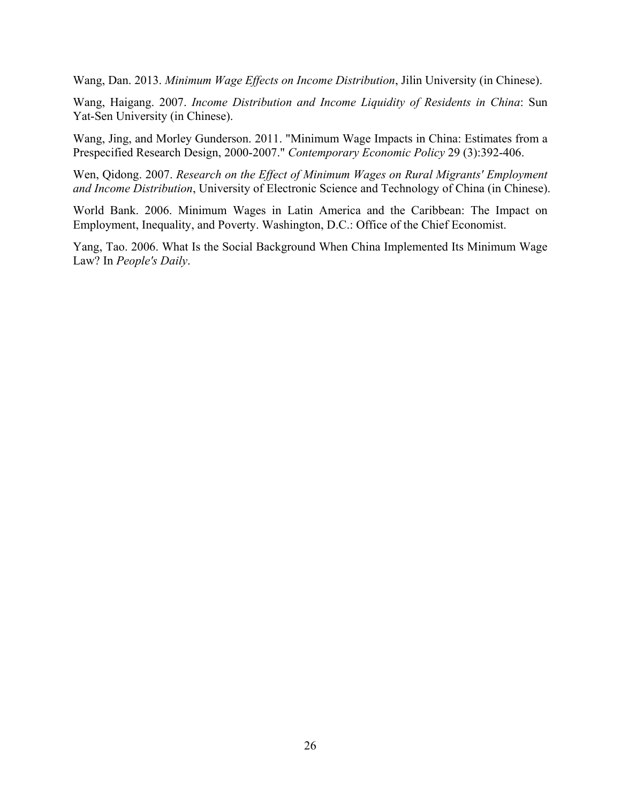Wang, Dan. 2013. *Minimum Wage Effects on Income Distribution*, Jilin University (in Chinese).

Wang, Haigang. 2007. *Income Distribution and Income Liquidity of Residents in China*: Sun Yat-Sen University (in Chinese).

Wang, Jing, and Morley Gunderson. 2011. "Minimum Wage Impacts in China: Estimates from a Prespecified Research Design, 2000-2007." *Contemporary Economic Policy* 29 (3):392-406.

Wen, Qidong. 2007. *Research on the Effect of Minimum Wages on Rural Migrants' Employment and Income Distribution*, University of Electronic Science and Technology of China (in Chinese).

World Bank. 2006. Minimum Wages in Latin America and the Caribbean: The Impact on Employment, Inequality, and Poverty. Washington, D.C.: Office of the Chief Economist.

Yang, Tao. 2006. What Is the Social Background When China Implemented Its Minimum Wage Law? In *People's Daily*.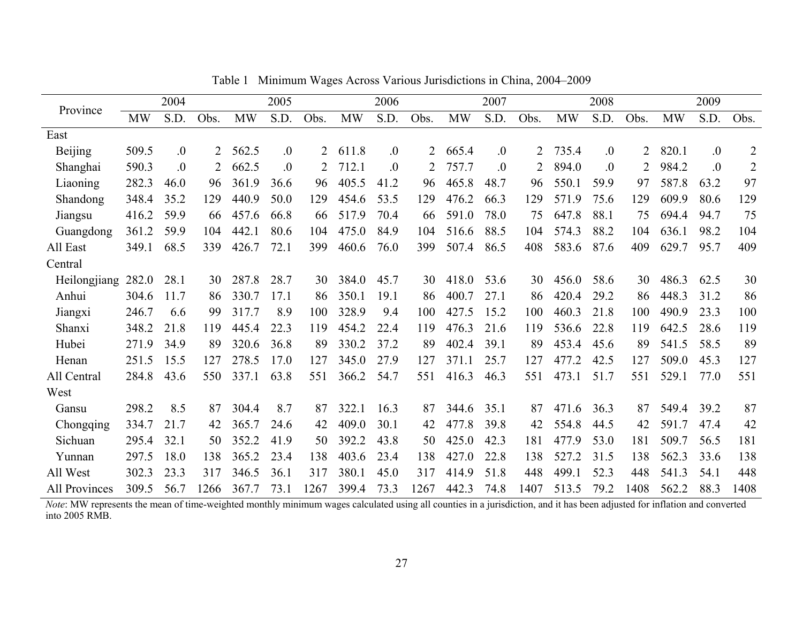|                |           | 2004 |                |           | 2005             |      |           | 2006 |      |           | 2007 |      |           | 2008             |      |           | 2009             |                |
|----------------|-----------|------|----------------|-----------|------------------|------|-----------|------|------|-----------|------|------|-----------|------------------|------|-----------|------------------|----------------|
| Province       | <b>MW</b> | S.D. | Obs.           | <b>MW</b> | S.D.             | Obs. | <b>MW</b> | S.D. | Obs. | <b>MW</b> | S.D. | Obs. | <b>MW</b> | S.D.             | Obs. | <b>MW</b> | S.D.             | Obs.           |
| East           |           |      |                |           |                  |      |           |      |      |           |      |      |           |                  |      |           |                  |                |
| <b>Beijing</b> | 509.5     | .0   | 2              | 562.5     | $\overline{0}$ . | 2    | 611.8     | 0.   | 2    | 665.4     | 0.   | 2    | 735.4     | $\overline{0}$ . |      | 820.1     | $\overline{0}$ . | $\overline{2}$ |
| Shanghai       | 590.3     | .0   | $\overline{2}$ | 662.5     | 0.               | 2    | 712.1     | 0.   | 2    | 757.7     | 0.   | 2    | 894.0     | $\overline{0}$ . |      | 984.2     | .0               | $\overline{2}$ |
| Liaoning       | 282.3     | 46.0 | 96             | 361.9     | 36.6             | 96   | 405.5     | 41.2 | 96   | 465.8     | 48.7 | 96   | 550.1     | 59.9             | 97   | 587.8     | 63.2             | 97             |
| Shandong       | 348.4     | 35.2 | 129            | 440.9     | 50.0             | 129  | 454.6     | 53.5 | 129  | 476.2     | 66.3 | 129  | 571.9     | 75.6             | 129  | 609.9     | 80.6             | 129            |
| Jiangsu        | 416.2     | 59.9 | 66             | 457.6     | 66.8             | 66   | 517.9     | 70.4 | 66   | 591.0     | 78.0 | 75   | 647.8     | 88.1             | 75   | 694.4     | 94.7             | 75             |
| Guangdong      | 361.2     | 59.9 | 104            | 442.1     | 80.6             | 104  | 475.0     | 84.9 | 104  | 516.6     | 88.5 | 104  | 574.3     | 88.2             | 104  | 636.1     | 98.2             | 104            |
| All East       | 349.1     | 68.5 | 339            | 426.7     | 72.1             | 399  | 460.6     | 76.0 | 399  | 507.4     | 86.5 | 408  | 583.6     | 87.6             | 409  | 629.7     | 95.7             | 409            |
| Central        |           |      |                |           |                  |      |           |      |      |           |      |      |           |                  |      |           |                  |                |
| Heilongjiang   | 282.0     | 28.1 | 30             | 287.8     | 28.7             | 30   | 384.0     | 45.7 | 30   | 418.0     | 53.6 | 30   | 456.0     | 58.6             | 30   | 486.3     | 62.5             | 30             |
| Anhui          | 304.6     | 11.7 | 86             | 330.7     | 17.1             | 86   | 350.1     | 19.1 | 86   | 400.7     | 27.1 | 86   | 420.4     | 29.2             | 86   | 448.3     | 31.2             | 86             |
| Jiangxi        | 246.7     | 6.6  | 99             | 317.7     | 8.9              | 100  | 328.9     | 9.4  | 100  | 427.5     | 15.2 | 100  | 460.3     | 21.8             | 100  | 490.9     | 23.3             | 100            |
| Shanxi         | 348.2     | 21.8 | 119            | 445.4     | 22.3             | 119  | 454.2     | 22.4 | 119  | 476.3     | 21.6 | 119  | 536.6     | 22.8             | 119  | 642.5     | 28.6             | 119            |
| Hubei          | 271.9     | 34.9 | 89             | 320.6     | 36.8             | 89   | 330.2     | 37.2 | 89   | 402.4     | 39.1 | 89   | 453.4     | 45.6             | 89   | 541.5     | 58.5             | 89             |
| Henan          | 251.5     | 15.5 | 127            | 278.5     | 17.0             | 127  | 345.0     | 27.9 | 127  | 371.1     | 25.7 | 127  | 477.2     | 42.5             | 127  | 509.0     | 45.3             | 127            |
| All Central    | 284.8     | 43.6 | 550            | 337.1     | 63.8             | 551  | 366.2     | 54.7 | 551  | 416.3     | 46.3 | 551  | 473.1     | 51.7             | 551  | 529.1     | 77.0             | 551            |
| West           |           |      |                |           |                  |      |           |      |      |           |      |      |           |                  |      |           |                  |                |
| Gansu          | 298.2     | 8.5  | 87             | 304.4     | 8.7              | 87   | 322.1     | 16.3 | 87   | 344.6     | 35.1 | 87   | 471.6     | 36.3             | 87   | 549.4     | 39.2             | 87             |
| Chongqing      | 334.7     | 21.7 | 42             | 365.7     | 24.6             | 42   | 409.0     | 30.1 | 42   | 477.8     | 39.8 | 42   | 554.8     | 44.5             | 42   | 591.7     | 47.4             | 42             |
| Sichuan        | 295.4     | 32.1 | 50             | 352.2     | 41.9             | 50   | 392.2     | 43.8 | 50   | 425.0     | 42.3 | 181  | 477.9     | 53.0             | 181  | 509.7     | 56.5             | 181            |
| Yunnan         | 297.5     | 18.0 | 138            | 365.2     | 23.4             | 138  | 403.6     | 23.4 | 138  | 427.0     | 22.8 | 138  | 527.2     | 31.5             | 138  | 562.3     | 33.6             | 138            |
| All West       | 302.3     | 23.3 | 317            | 346.5     | 36.1             | 317  | 380.1     | 45.0 | 317  | 414.9     | 51.8 | 448  | 499.1     | 52.3             | 448  | 541.3     | 54.1             | 448            |
| All Provinces  | 309.5     | 56.7 | 1266           | 367.7     | 73.1             | 1267 | 399.4     | 73.3 | 1267 | 442.3     | 74.8 | 1407 | 513.5     | 79.2             | 1408 | 562.2     | 88.3             | 1408           |

Table 1 Minimum Wages Across Various Jurisdictions in China, 2004–2009

*Note*: MW represents the mean of time-weighted monthly minimum wages calculated using all counties in a jurisdiction, and it has been adjusted for inflation and converted into 2005 RMB.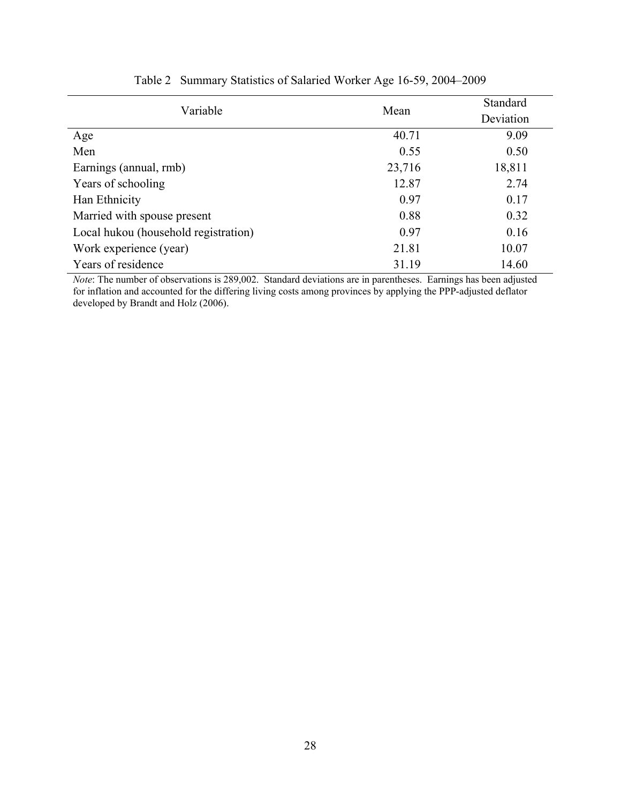| Variable                             | Mean   | Standard<br>Deviation |
|--------------------------------------|--------|-----------------------|
| Age                                  | 40.71  | 9.09                  |
| Men                                  | 0.55   | 0.50                  |
| Earnings (annual, rmb)               | 23,716 | 18,811                |
| Years of schooling                   | 12.87  | 2.74                  |
| Han Ethnicity                        | 0.97   | 0.17                  |
| Married with spouse present          | 0.88   | 0.32                  |
| Local hukou (household registration) | 0.97   | 0.16                  |
| Work experience (year)               | 21.81  | 10.07                 |
| Years of residence                   | 31.19  | 14.60                 |

# Table 2 Summary Statistics of Salaried Worker Age 16-59, 2004–2009

*Note*: The number of observations is 289,002. Standard deviations are in parentheses. Earnings has been adjusted for inflation and accounted for the differing living costs among provinces by applying the PPP-adjusted deflator developed by Brandt and Holz (2006).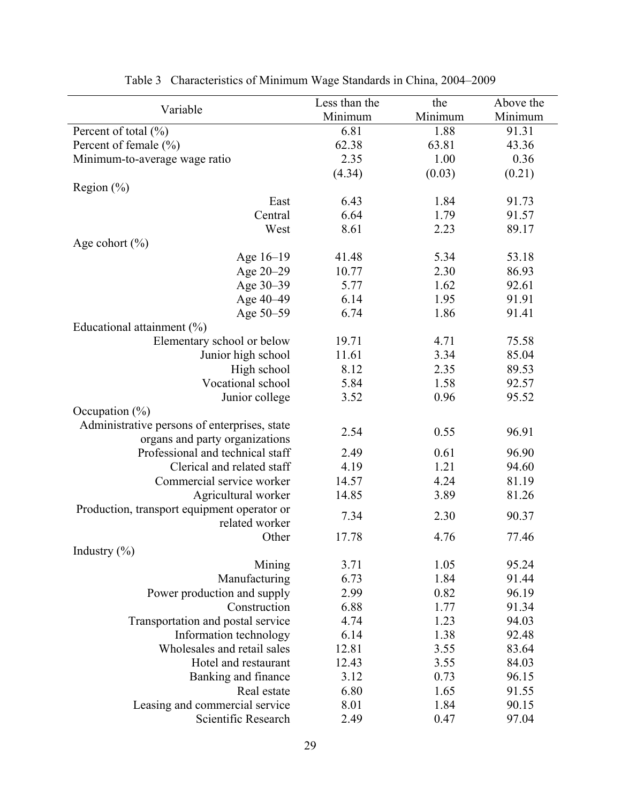| Variable                                     | Less than the | the     | Above the |
|----------------------------------------------|---------------|---------|-----------|
|                                              | Minimum       | Minimum | Minimum   |
| Percent of total $(\% )$                     | 6.81          | 1.88    | 91.31     |
| Percent of female $(\% )$                    | 62.38         | 63.81   | 43.36     |
| Minimum-to-average wage ratio                | 2.35          | 1.00    | 0.36      |
|                                              | (4.34)        | (0.03)  | (0.21)    |
| Region $(\% )$                               |               |         |           |
| East                                         | 6.43          | 1.84    | 91.73     |
| Central                                      | 6.64          | 1.79    | 91.57     |
| West                                         | 8.61          | 2.23    | 89.17     |
| Age cohort $(\% )$                           |               |         |           |
| Age 16-19                                    | 41.48         | 5.34    | 53.18     |
| Age 20-29                                    | 10.77         | 2.30    | 86.93     |
| Age 30-39                                    | 5.77          | 1.62    | 92.61     |
| Age 40-49                                    | 6.14          | 1.95    | 91.91     |
| Age 50-59                                    | 6.74          | 1.86    | 91.41     |
| Educational attainment $(\% )$               |               |         |           |
| Elementary school or below                   | 19.71         | 4.71    | 75.58     |
| Junior high school                           | 11.61         | 3.34    | 85.04     |
| High school                                  | 8.12          | 2.35    | 89.53     |
| Vocational school                            | 5.84          | 1.58    | 92.57     |
| Junior college                               | 3.52          | 0.96    | 95.52     |
| Occupation $(\%)$                            |               |         |           |
| Administrative persons of enterprises, state |               |         |           |
| organs and party organizations               | 2.54          | 0.55    | 96.91     |
| Professional and technical staff             | 2.49          | 0.61    | 96.90     |
| Clerical and related staff                   | 4.19          | 1.21    | 94.60     |
| Commercial service worker                    | 14.57         | 4.24    | 81.19     |
| Agricultural worker                          | 14.85         | 3.89    | 81.26     |
| Production, transport equipment operator or  |               |         |           |
| related worker                               | 7.34          | 2.30    | 90.37     |
| Other                                        | 17.78         | 4.76    | 77.46     |
| Industry $(\% )$                             |               |         |           |
| Mining                                       | 3.71          | 1.05    | 95.24     |
| Manufacturing                                | 6.73          | 1.84    | 91.44     |
| Power production and supply                  | 2.99          | 0.82    | 96.19     |
| Construction                                 | 6.88          | 1.77    | 91.34     |
| Transportation and postal service            | 4.74          | 1.23    | 94.03     |
| Information technology                       | 6.14          | 1.38    | 92.48     |
| Wholesales and retail sales                  | 12.81         | 3.55    | 83.64     |
| Hotel and restaurant                         | 12.43         | 3.55    | 84.03     |
| Banking and finance                          | 3.12          | 0.73    | 96.15     |
| Real estate                                  | 6.80          | 1.65    | 91.55     |
| Leasing and commercial service               | 8.01          | 1.84    | 90.15     |
| Scientific Research                          | 2.49          | 0.47    | 97.04     |

| Table 3 Characteristics of Minimum Wage Standards in China, 2004–2009 |  |  |  |  |
|-----------------------------------------------------------------------|--|--|--|--|
|                                                                       |  |  |  |  |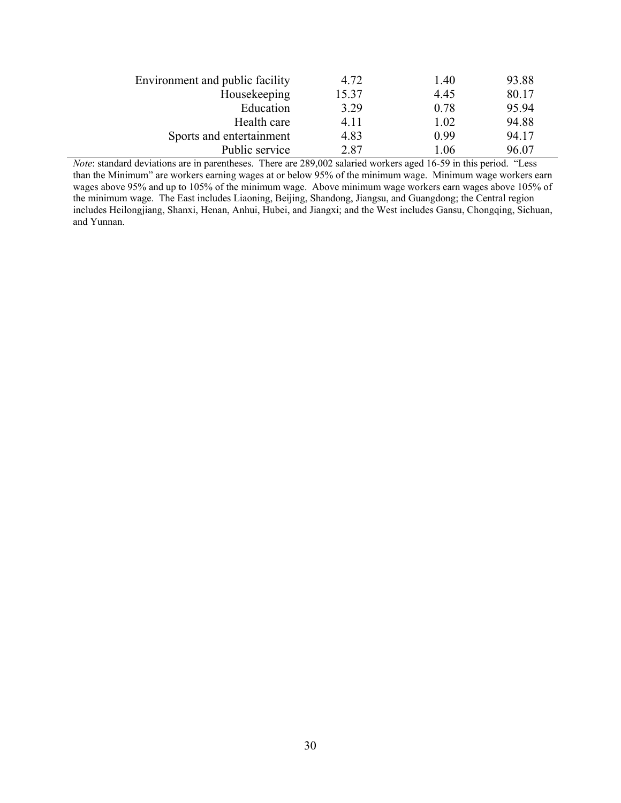| Environment and public facility | 4.72  | 1.40 | 93.88 |
|---------------------------------|-------|------|-------|
| Housekeeping                    | 15.37 | 4.45 | 80.17 |
| Education                       | 3.29  | 0.78 | 95.94 |
| Health care                     | 411   | 1.02 | 94.88 |
| Sports and entertainment        | 4.83  | 0.99 | 94.17 |
| Public service                  | 2.87  | 1.06 | 96.07 |

*Note*: standard deviations are in parentheses. There are 289,002 salaried workers aged 16-59 in this period. "Less than the Minimum" are workers earning wages at or below 95% of the minimum wage. Minimum wage workers earn wages above 95% and up to 105% of the minimum wage. Above minimum wage workers earn wages above 105% of the minimum wage. The East includes Liaoning, Beijing, Shandong, Jiangsu, and Guangdong; the Central region the minimum wage. includes Heilongjiang, Shanxi, Henan, Anhui, Hubei, and Jiangxi; and the West includes Gansu, Chongqing, Sichuan, and Yunnan.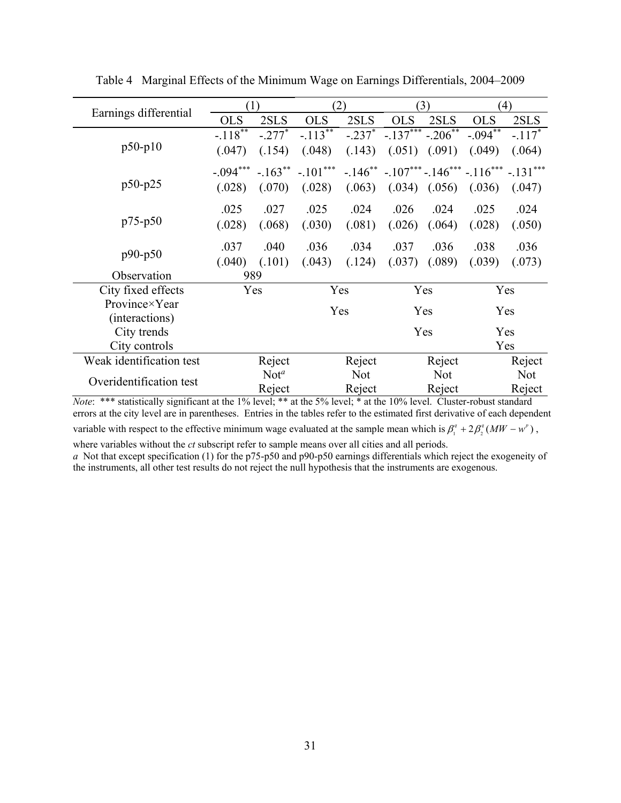| Earnings differential    |            | (1)              |                    | (2)       |                   | (3)        | (4)                                                |            |  |
|--------------------------|------------|------------------|--------------------|-----------|-------------------|------------|----------------------------------------------------|------------|--|
|                          | <b>OLS</b> | 2SLS             | <b>OLS</b>         | 2SLS      | <b>OLS</b>        | 2SLS       | <b>OLS</b>                                         | 2SLS       |  |
|                          | $-.118***$ | $-.277*$         | $-.113***$         | $-.237$ * | $-.137***-.206**$ |            | $-.094***$                                         | $-.117*$   |  |
| $p50-p10$                | (.047)     | (.154)           | (.048)             | (.143)    | (.051)            | (.091)     | (.049)                                             | (.064)     |  |
|                          | $-.094***$ |                  | $-.163***-.101***$ |           |                   |            | $-146^{**}$ $-107^{***}$ $-146^{***}$ $-116^{***}$ | $-.131***$ |  |
| p50-p25                  | (.028)     | (.070)           | (.028)             | (.063)    | (.034)            | (.056)     | (.036)                                             | (.047)     |  |
|                          | .025       | .027             | .025               | .024      | .026              | .024       | .025                                               | .024       |  |
| $p75-p50$                | (.028)     | (.068)           | (.030)             | (.081)    | (.026)            | (.064)     | (.028)                                             | (.050)     |  |
|                          | .037       | .040             | .036               | .034      | .037              | .036       | .038                                               | .036       |  |
| $p90-p50$                | (.040)     | (.101)           | (.043)             | (.124)    | (.037)            | (.089)     | (.039)                                             | (.073)     |  |
| Observation              | 989        |                  |                    |           |                   |            |                                                    |            |  |
| City fixed effects       |            | Yes              |                    | Yes       |                   | Yes        | Yes                                                |            |  |
| Province×Year            |            |                  | Yes                |           |                   |            | Yes                                                |            |  |
| (interactions)           |            |                  |                    |           | Yes               |            |                                                    |            |  |
| City trends              |            |                  |                    |           | Yes               |            | Yes                                                |            |  |
| City controls            |            |                  |                    |           |                   |            |                                                    | Yes        |  |
| Weak identification test | Reject     |                  | Reject             |           |                   | Reject     | Reject                                             |            |  |
| Overidentification test  |            | Not <sup>a</sup> | <b>Not</b>         |           |                   | <b>Not</b> | <b>Not</b>                                         |            |  |
|                          |            | Reject           |                    | Reject    |                   | Reject     | Reject                                             |            |  |

Table 4 Marginal Effects of the Minimum Wage on Earnings Differentials, 2004–2009

*Note*: \*\*\* statistically significant at the 1% level; \*\* at the 5% level; \* at the 10% level. Cluster-robust standard errors at the city level are in parentheses. Entries in the tables refer to the estimated first derivative of each dependent variable with respect to the effective minimum wage evaluated at the sample mean which is  $\beta_1^q + 2\beta_2^q (MW - w^p)$ ,

where variables without the *ct* subscript refer to sample means over all cities and all periods.

*a* Not that except specification (1) for the p75-p50 and p90-p50 earnings differentials which reject the exogeneity of the instruments, all other test results do not reject the null hypothesis that the instruments are exogenous.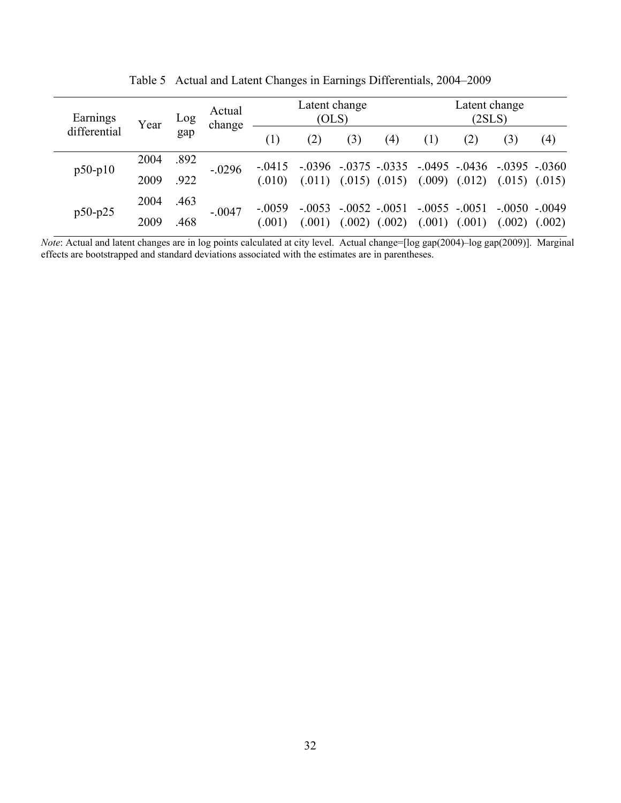| Earnings     | Year | Log  | Actual<br>change |          | Latent change<br>(OLS) |        |                   |                | Latent change<br>(2SLS)                               |          |                     |
|--------------|------|------|------------------|----------|------------------------|--------|-------------------|----------------|-------------------------------------------------------|----------|---------------------|
| differential |      | gap  |                  | (1)      | (2)                    | (3)    | (4)               | (1)            | (2)                                                   | (3)      | (4)                 |
| $p50-p10$    | 2004 | .892 | $-.0296$         | $-.0415$ | $-.0396$               |        |                   |                | $-.0375$ $-.0335$ $-.0495$ $-.0436$ $-.0395$ $-.0360$ |          |                     |
|              | 2009 | .922 |                  | (.010)   | (.011)                 |        | $(.015)$ $(.015)$ |                | $(.009)$ $(.012)$                                     |          | $(0.015)$ $(0.015)$ |
| $p50-p25$    | 2004 | .463 |                  | $-.0059$ | $-.0053$               |        | $-.0052-.0051$    | $-.0055-.0051$ |                                                       | $-.0050$ | $-.0049$            |
|              | 2009 | .468 | $-.0047$         | (.001)   | (.001)                 | (.002) | (.002)            | (.001)         | (.001)                                                | (.002)   | (.002)              |

Table 5 Actual and Latent Changes in Earnings Differentials, 2004–2009

*Note*: Actual and latent changes are in log points calculated at city level. Actual change=[log gap(2004)-log gap(2009)]. Marginal effects are bootstrapped and standard deviations associated with the estimates are in parentheses.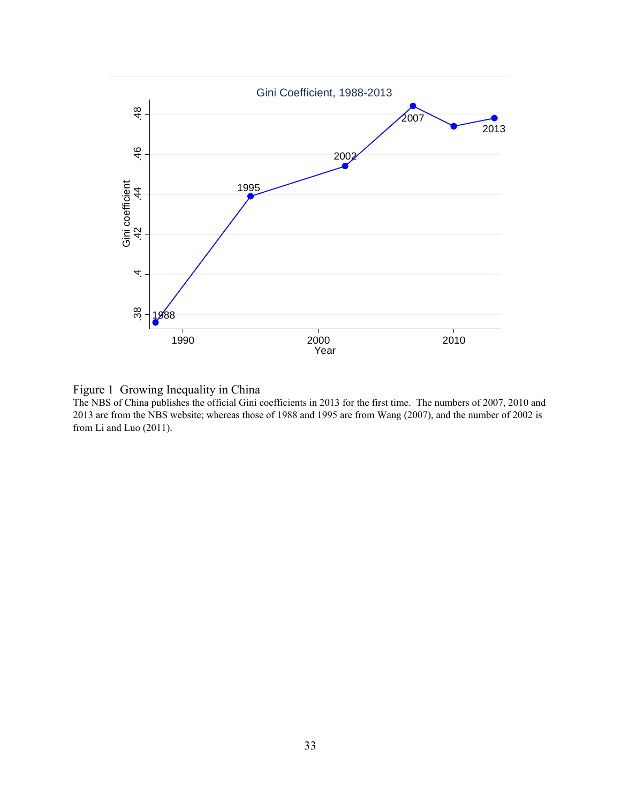



The NBS of China publishes the official Gini coefficients in 2013 for the first time. The numbers of 2007, 2010 and 2013 are from the NBS website; whereas those of 1988 and 1995 are from Wang (2007), and the number of 2002 is from Li and Luo (2011).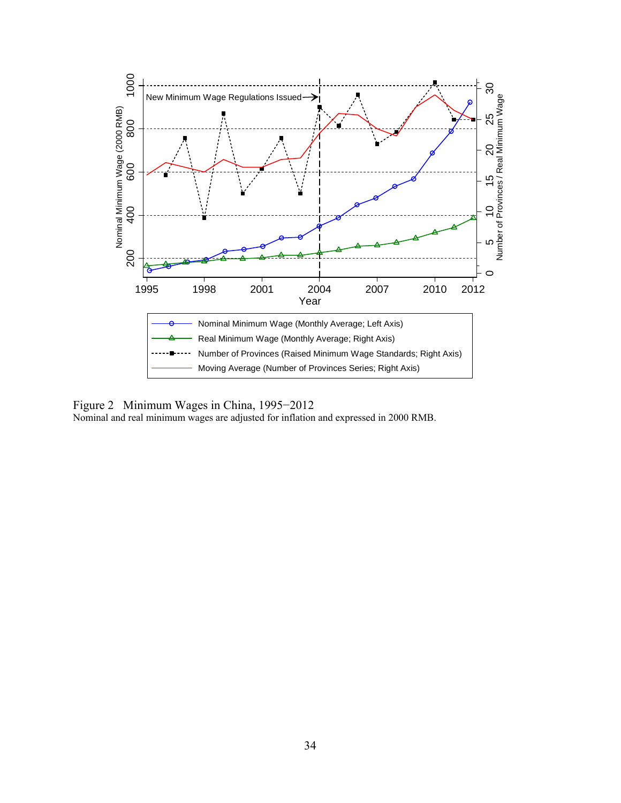

Figure 2 Minimum Wages in China, 1995−2012

Nominal and real minimum wages are adjusted for inflation and expressed in 2000 RMB.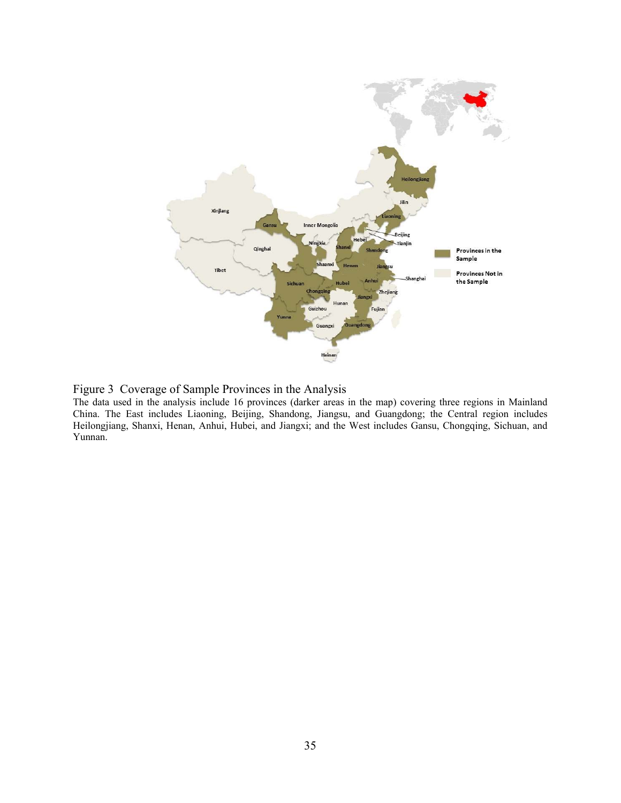

Figure 3 Coverage of Sample Provinces in the Analysis

The data used in the analysis include 16 provinces (darker areas in the map) covering three regions in Mainland China. The East includes Liaoning, Beijing, Shandong, Jiangsu, and Guangdong; the Central region includes Heilongjiang, Shanxi, Henan, Anhui, Hubei, and Jiangxi; and the West includes Gansu, Chongqing, Sichuan, and Yunnan.